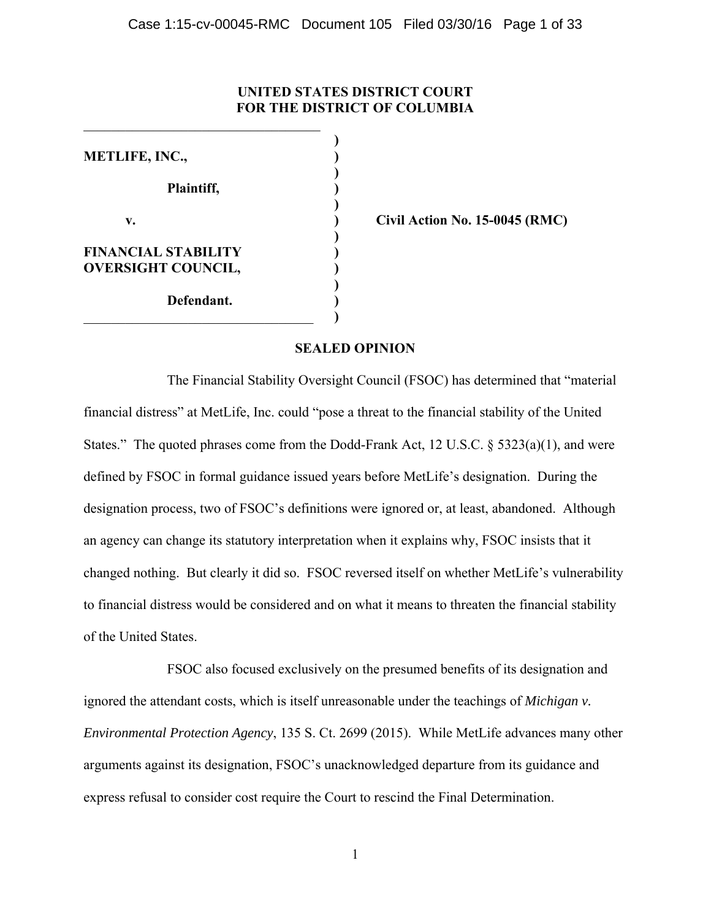# **UNITED STATES DISTRICT COURT FOR THE DISTRICT OF COLUMBIA**

 **) METLIFE, INC., ) ) Plaintiff, ) ) v. 15-0045 (RMC) Civil Action No. 15-0045 (RMC) ) FINANCIAL STABILITY ) OVERSIGHT COUNCIL, ) ) Defendant. )**  \_\_\_\_\_\_\_\_\_\_\_\_\_\_\_\_\_\_\_\_\_\_\_\_\_\_\_\_\_\_\_\_\_ **)**

 $\mathcal{L}_\text{max}$  , and the set of the set of the set of the set of the set of the set of the set of the set of the set of the set of the set of the set of the set of the set of the set of the set of the set of the set of the

# **SEALED OPINION**

The Financial Stability Oversight Council (FSOC) has determined that "material financial distress" at MetLife, Inc. could "pose a threat to the financial stability of the United States." The quoted phrases come from the Dodd-Frank Act, 12 U.S.C. § 5323(a)(1), and were defined by FSOC in formal guidance issued years before MetLife's designation. During the designation process, two of FSOC's definitions were ignored or, at least, abandoned. Although an agency can change its statutory interpretation when it explains why, FSOC insists that it changed nothing. But clearly it did so. FSOC reversed itself on whether MetLife's vulnerability to financial distress would be considered and on what it means to threaten the financial stability of the United States.

FSOC also focused exclusively on the presumed benefits of its designation and ignored the attendant costs, which is itself unreasonable under the teachings of *Michigan v. Environmental Protection Agency*, 135 S. Ct. 2699 (2015). While MetLife advances many other arguments against its designation, FSOC's unacknowledged departure from its guidance and express refusal to consider cost require the Court to rescind the Final Determination.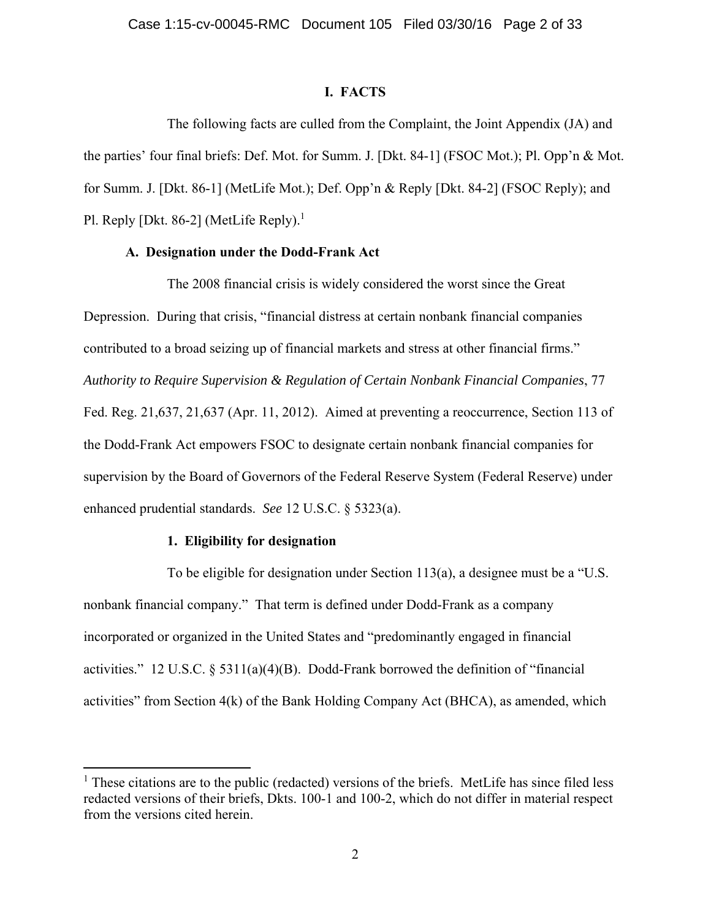# **I. FACTS**

The following facts are culled from the Complaint, the Joint Appendix (JA) and the parties' four final briefs: Def. Mot. for Summ. J. [Dkt. 84-1] (FSOC Mot.); Pl. Opp'n & Mot. for Summ. J. [Dkt. 86-1] (MetLife Mot.); Def. Opp'n & Reply [Dkt. 84-2] (FSOC Reply); and Pl. Reply [Dkt. 86-2] (MetLife Reply).<sup>1</sup>

## **A. Designation under the Dodd-Frank Act**

The 2008 financial crisis is widely considered the worst since the Great Depression. During that crisis, "financial distress at certain nonbank financial companies contributed to a broad seizing up of financial markets and stress at other financial firms." *Authority to Require Supervision & Regulation of Certain Nonbank Financial Companies*, 77 Fed. Reg. 21,637, 21,637 (Apr. 11, 2012). Aimed at preventing a reoccurrence, Section 113 of the Dodd-Frank Act empowers FSOC to designate certain nonbank financial companies for supervision by the Board of Governors of the Federal Reserve System (Federal Reserve) under enhanced prudential standards. *See* 12 U.S.C. § 5323(a).

# **1. Eligibility for designation**

 $\overline{a}$ 

To be eligible for designation under Section 113(a), a designee must be a "U.S. nonbank financial company." That term is defined under Dodd-Frank as a company incorporated or organized in the United States and "predominantly engaged in financial activities." 12 U.S.C.  $\&$  5311(a)(4)(B). Dodd-Frank borrowed the definition of "financial" activities" from Section  $4(k)$  of the Bank Holding Company Act (BHCA), as amended, which

<sup>&</sup>lt;sup>1</sup> These citations are to the public (redacted) versions of the briefs. MetLife has since filed less redacted versions of their briefs, Dkts. 100-1 and 100-2, which do not differ in material respect from the versions cited herein.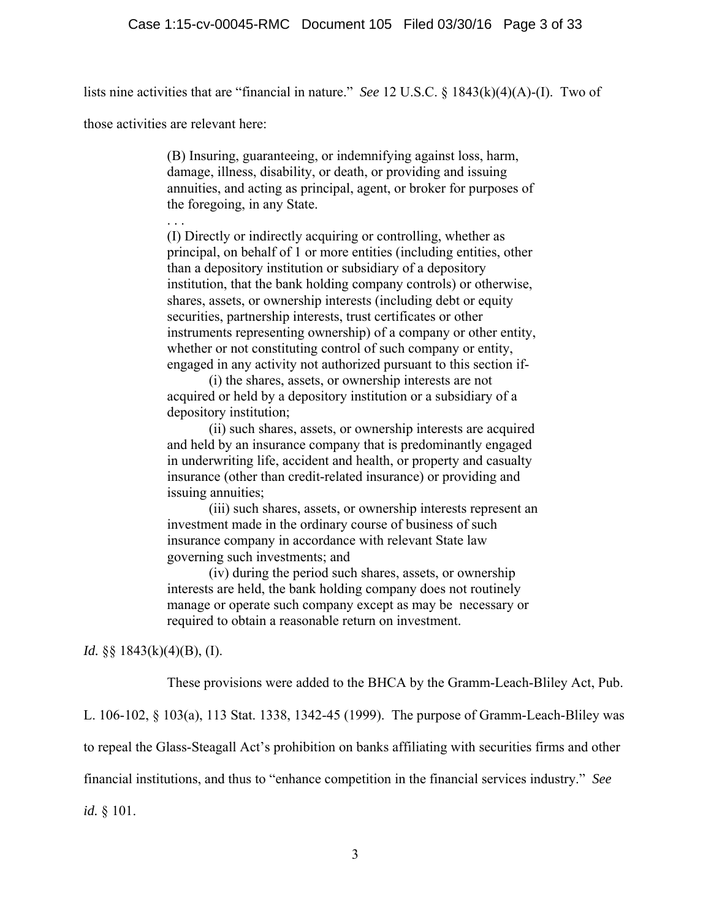lists nine activities that are "financial in nature." *See* 12 U.S.C. § 1843(k)(4)(A)-(I). Two of

those activities are relevant here:

(B) Insuring, guaranteeing, or indemnifying against loss, harm, damage, illness, disability, or death, or providing and issuing annuities, and acting as principal, agent, or broker for purposes of the foregoing, in any State.

. . . (I) Directly or indirectly acquiring or controlling, whether as principal, on behalf of 1 or more entities (including entities, other than a depository institution or subsidiary of a depository institution, that the bank holding company controls) or otherwise, shares, assets, or ownership interests (including debt or equity securities, partnership interests, trust certificates or other instruments representing ownership) of a company or other entity, whether or not constituting control of such company or entity, engaged in any activity not authorized pursuant to this section if-

(i) the shares, assets, or ownership interests are not acquired or held by a depository institution or a subsidiary of a depository institution;

(ii) such shares, assets, or ownership interests are acquired and held by an insurance company that is predominantly engaged in underwriting life, accident and health, or property and casualty insurance (other than credit-related insurance) or providing and issuing annuities;

(iii) such shares, assets, or ownership interests represent an investment made in the ordinary course of business of such insurance company in accordance with relevant State law governing such investments; and

(iv) during the period such shares, assets, or ownership interests are held, the bank holding company does not routinely manage or operate such company except as may be necessary or required to obtain a reasonable return on investment.

*Id.* §§ 1843(k)(4)(B), (I).

These provisions were added to the BHCA by the Gramm-Leach-Bliley Act, Pub.

L. 106-102, § 103(a), 113 Stat. 1338, 1342-45 (1999). The purpose of Gramm-Leach-Bliley was

to repeal the Glass-Steagall Act's prohibition on banks affiliating with securities firms and other

financial institutions, and thus to "enhance competition in the financial services industry." *See* 

*id.* § 101.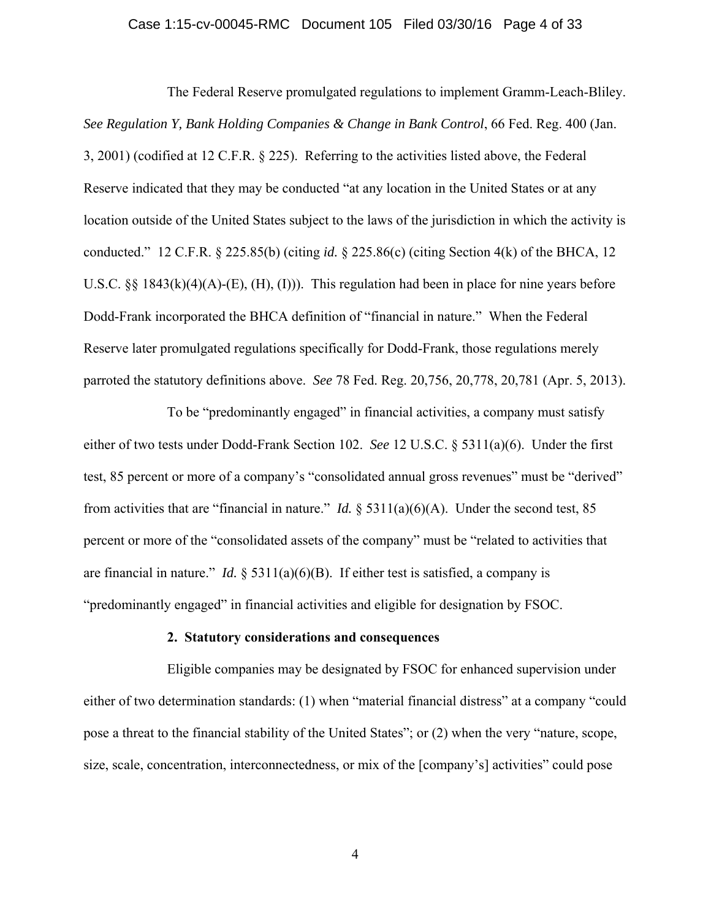### Case 1:15-cv-00045-RMC Document 105 Filed 03/30/16 Page 4 of 33

The Federal Reserve promulgated regulations to implement Gramm-Leach-Bliley. *See Regulation Y, Bank Holding Companies & Change in Bank Control*, 66 Fed. Reg. 400 (Jan. 3, 2001) (codified at 12 C.F.R. § 225). Referring to the activities listed above, the Federal Reserve indicated that they may be conducted "at any location in the United States or at any location outside of the United States subject to the laws of the jurisdiction in which the activity is conducted." 12 C.F.R. § 225.85(b) (citing *id.* § 225.86(c) (citing Section 4(k) of the BHCA, 12 U.S.C. §§ 1843(k)(4)(A)-(E), (H), (I))). This regulation had been in place for nine years before Dodd-Frank incorporated the BHCA definition of "financial in nature." When the Federal Reserve later promulgated regulations specifically for Dodd-Frank, those regulations merely parroted the statutory definitions above. *See* 78 Fed. Reg. 20,756, 20,778, 20,781 (Apr. 5, 2013).

 To be "predominantly engaged" in financial activities, a company must satisfy either of two tests under Dodd-Frank Section 102. *See* 12 U.S.C. § 5311(a)(6). Under the first test, 85 percent or more of a company's "consolidated annual gross revenues" must be "derived" from activities that are "financial in nature." *Id.* § 5311(a)(6)(A). Under the second test, 85 percent or more of the "consolidated assets of the company" must be "related to activities that are financial in nature." *Id.*  $\S$  5311(a)(6)(B). If either test is satisfied, a company is "predominantly engaged" in financial activities and eligible for designation by FSOC.

## **2. Statutory considerations and consequences**

Eligible companies may be designated by FSOC for enhanced supervision under either of two determination standards: (1) when "material financial distress" at a company "could pose a threat to the financial stability of the United States"; or (2) when the very "nature, scope, size, scale, concentration, interconnectedness, or mix of the [company's] activities" could pose

4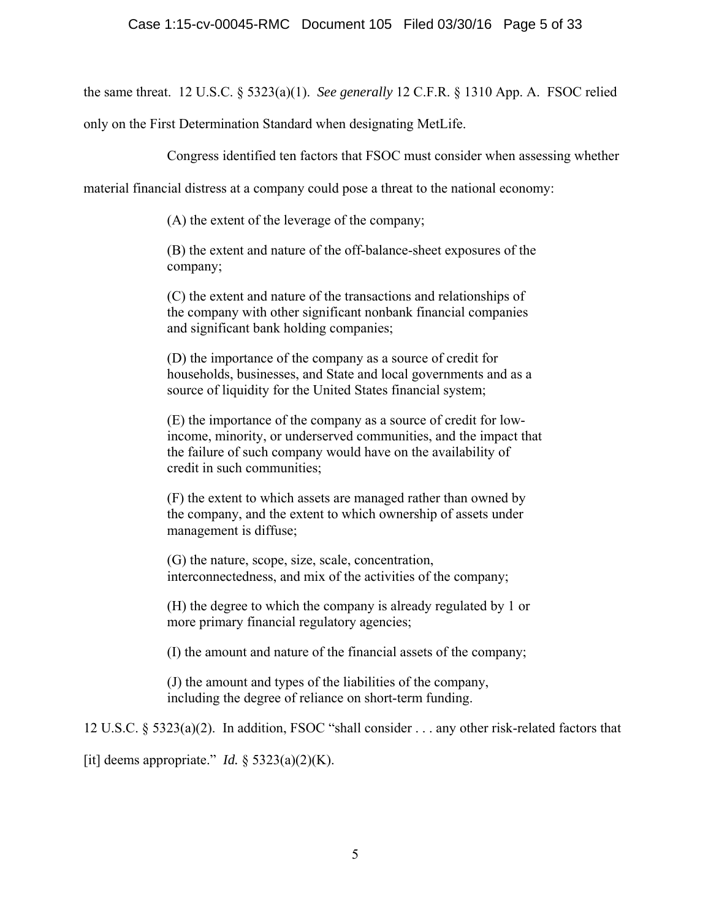the same threat. 12 U.S.C. § 5323(a)(1). *See generally* 12 C.F.R. § 1310 App. A. FSOC relied

only on the First Determination Standard when designating MetLife.

Congress identified ten factors that FSOC must consider when assessing whether

material financial distress at a company could pose a threat to the national economy:

(A) the extent of the leverage of the company;

(B) the extent and nature of the off-balance-sheet exposures of the company;

(C) the extent and nature of the transactions and relationships of the company with other significant nonbank financial companies and significant bank holding companies;

(D) the importance of the company as a source of credit for households, businesses, and State and local governments and as a source of liquidity for the United States financial system;

(E) the importance of the company as a source of credit for lowincome, minority, or underserved communities, and the impact that the failure of such company would have on the availability of credit in such communities;

(F) the extent to which assets are managed rather than owned by the company, and the extent to which ownership of assets under management is diffuse;

(G) the nature, scope, size, scale, concentration, interconnectedness, and mix of the activities of the company;

(H) the degree to which the company is already regulated by 1 or more primary financial regulatory agencies;

(I) the amount and nature of the financial assets of the company;

(J) the amount and types of the liabilities of the company, including the degree of reliance on short-term funding.

12 U.S.C. § 5323(a)(2). In addition, FSOC "shall consider . . . any other risk-related factors that

[it] deems appropriate." *Id.* § 5323(a)(2)(K).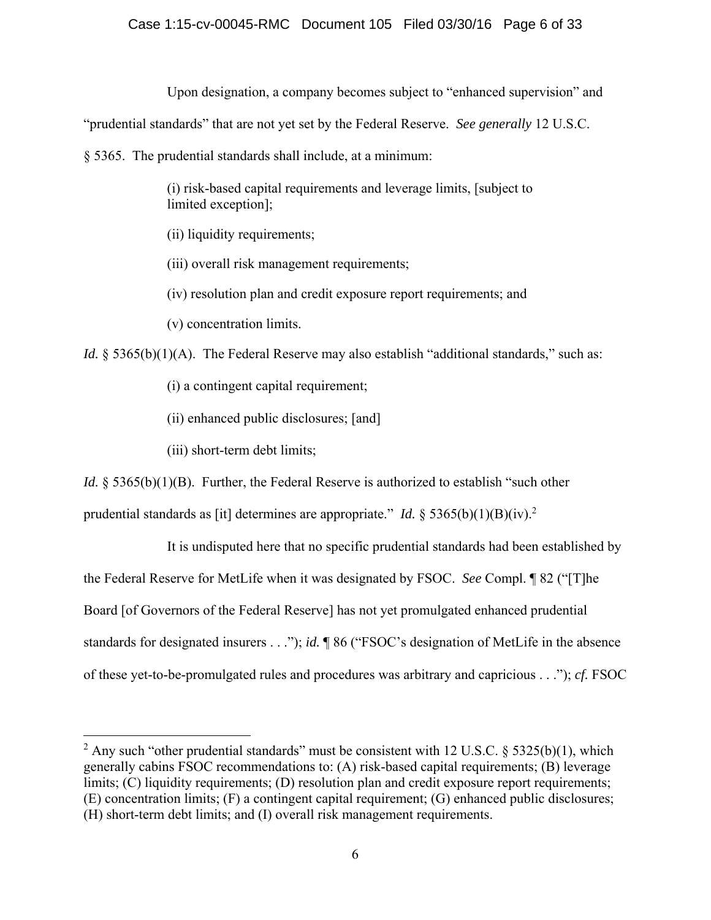# Case 1:15-cv-00045-RMC Document 105 Filed 03/30/16 Page 6 of 33

Upon designation, a company becomes subject to "enhanced supervision" and

"prudential standards" that are not yet set by the Federal Reserve. *See generally* 12 U.S.C.

§ 5365. The prudential standards shall include, at a minimum:

(i) risk-based capital requirements and leverage limits, [subject to limited exception];

(ii) liquidity requirements;

(iii) overall risk management requirements;

(iv) resolution plan and credit exposure report requirements; and

(v) concentration limits.

*Id.* § 5365(b)(1)(A). The Federal Reserve may also establish "additional standards," such as:

(i) a contingent capital requirement;

(ii) enhanced public disclosures; [and]

(iii) short-term debt limits;

 $\overline{a}$ 

*Id.* § 5365(b)(1)(B). Further, the Federal Reserve is authorized to establish "such other

prudential standards as [it] determines are appropriate." *Id.* § 5365(b)(1)(B)(iv).<sup>2</sup>

It is undisputed here that no specific prudential standards had been established by the Federal Reserve for MetLife when it was designated by FSOC. *See* Compl. ¶ 82 ("[T]he Board [of Governors of the Federal Reserve] has not yet promulgated enhanced prudential standards for designated insurers . . ."); *id.* ¶ 86 ("FSOC's designation of MetLife in the absence of these yet-to-be-promulgated rules and procedures was arbitrary and capricious . . ."); *cf.* FSOC

<sup>&</sup>lt;sup>2</sup> Any such "other prudential standards" must be consistent with 12 U.S.C. § 5325(b)(1), which generally cabins FSOC recommendations to: (A) risk-based capital requirements; (B) leverage limits; (C) liquidity requirements; (D) resolution plan and credit exposure report requirements; (E) concentration limits; (F) a contingent capital requirement; (G) enhanced public disclosures; (H) short-term debt limits; and (I) overall risk management requirements.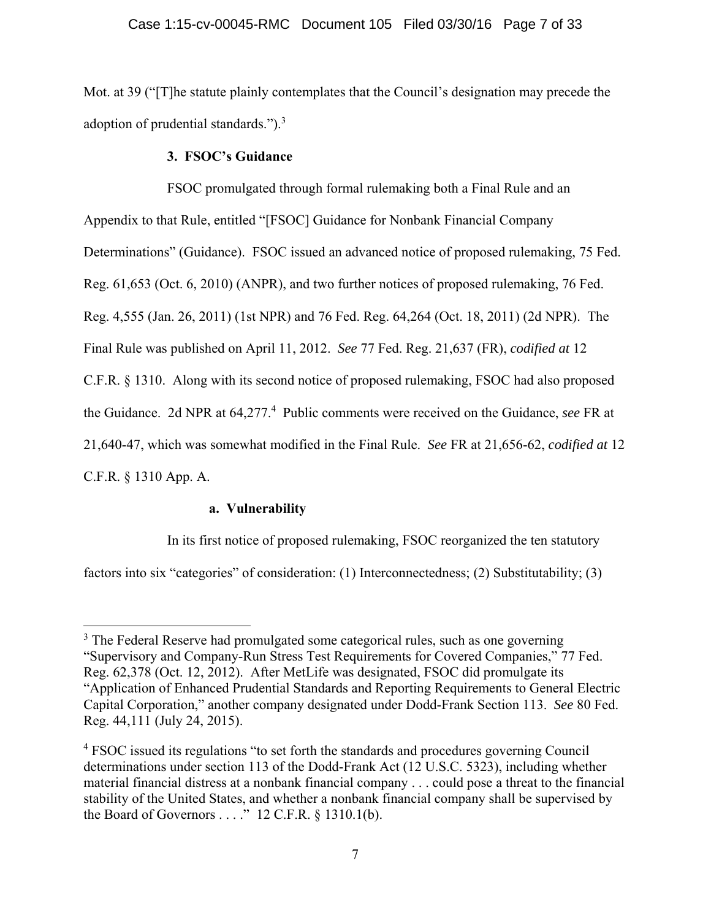Mot. at 39 ("[T]he statute plainly contemplates that the Council's designation may precede the adoption of prudential standards."). $3$ 

# **3. FSOC's Guidance**

 FSOC promulgated through formal rulemaking both a Final Rule and an Appendix to that Rule, entitled "[FSOC] Guidance for Nonbank Financial Company Determinations" (Guidance). FSOC issued an advanced notice of proposed rulemaking, 75 Fed. Reg. 61,653 (Oct. 6, 2010) (ANPR), and two further notices of proposed rulemaking, 76 Fed. Reg. 4,555 (Jan. 26, 2011) (1st NPR) and 76 Fed. Reg. 64,264 (Oct. 18, 2011) (2d NPR). The Final Rule was published on April 11, 2012. *See* 77 Fed. Reg. 21,637 (FR), *codified at* 12 C.F.R. § 1310. Along with its second notice of proposed rulemaking, FSOC had also proposed the Guidance. 2d NPR at 64,277.4 Public comments were received on the Guidance, *see* FR at 21,640-47, which was somewhat modified in the Final Rule. *See* FR at 21,656-62, *codified at* 12 C.F.R. § 1310 App. A.

# **a. Vulnerability**

In its first notice of proposed rulemaking, FSOC reorganized the ten statutory factors into six "categories" of consideration: (1) Interconnectedness; (2) Substitutability; (3)

<sup>&</sup>lt;u>.</u> <sup>3</sup> The Federal Reserve had promulgated some categorical rules, such as one governing "Supervisory and Company-Run Stress Test Requirements for Covered Companies," 77 Fed. Reg. 62,378 (Oct. 12, 2012). After MetLife was designated, FSOC did promulgate its "Application of Enhanced Prudential Standards and Reporting Requirements to General Electric Capital Corporation," another company designated under Dodd-Frank Section 113. *See* 80 Fed. Reg. 44,111 (July 24, 2015).

<sup>&</sup>lt;sup>4</sup> FSOC issued its regulations "to set forth the standards and procedures governing Council determinations under section 113 of the Dodd-Frank Act (12 U.S.C. 5323), including whether material financial distress at a nonbank financial company . . . could pose a threat to the financial stability of the United States, and whether a nonbank financial company shall be supervised by the Board of Governors . . . ." 12 C.F.R. § 1310.1(b).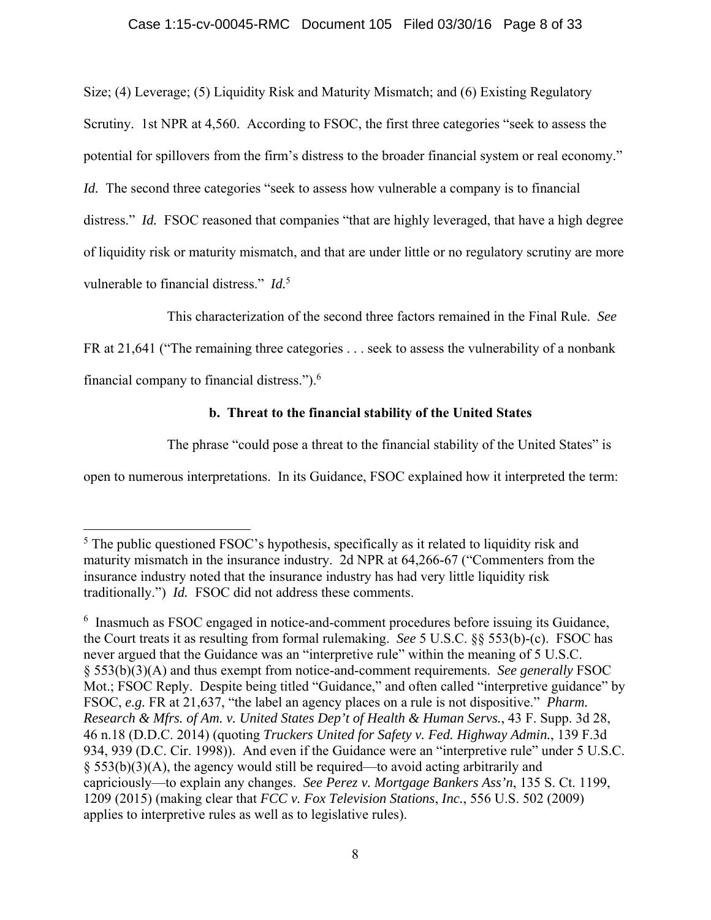## Case 1:15-cv-00045-RMC Document 105 Filed 03/30/16 Page 8 of 33

Size; (4) Leverage; (5) Liquidity Risk and Maturity Mismatch; and (6) Existing Regulatory Scrutiny. 1st NPR at 4,560. According to FSOC, the first three categories "seek to assess the potential for spillovers from the firm's distress to the broader financial system or real economy." *Id.* The second three categories "seek to assess how vulnerable a company is to financial distress." *Id.* FSOC reasoned that companies "that are highly leveraged, that have a high degree of liquidity risk or maturity mismatch, and that are under little or no regulatory scrutiny are more vulnerable to financial distress." *Id.*<sup>5</sup>

This characterization of the second three factors remained in the Final Rule. *See*  FR at 21,641 ("The remaining three categories . . . seek to assess the vulnerability of a nonbank financial company to financial distress.").6

# **b. Threat to the financial stability of the United States**

The phrase "could pose a threat to the financial stability of the United States" is

open to numerous interpretations. In its Guidance, FSOC explained how it interpreted the term:

<sup>&</sup>lt;sup>5</sup> The public questioned FSOC's hypothesis, specifically as it related to liquidity risk and maturity mismatch in the insurance industry. 2d NPR at 64,266-67 ("Commenters from the insurance industry noted that the insurance industry has had very little liquidity risk traditionally.") *Id.* FSOC did not address these comments.

<sup>&</sup>lt;sup>6</sup> Inasmuch as FSOC engaged in notice-and-comment procedures before issuing its Guidance, the Court treats it as resulting from formal rulemaking. *See* 5 U.S.C. §§ 553(b)-(c). FSOC has never argued that the Guidance was an "interpretive rule" within the meaning of 5 U.S.C. § 553(b)(3)(A) and thus exempt from notice-and-comment requirements. *See generally* FSOC Mot.; FSOC Reply. Despite being titled "Guidance," and often called "interpretive guidance" by FSOC, *e.g.* FR at 21,637, "the label an agency places on a rule is not dispositive." *Pharm. Research & Mfrs. of Am. v. United States Dep't of Health & Human Servs.*, 43 F. Supp. 3d 28, 46 n.18 (D.D.C. 2014) (quoting *Truckers United for Safety v. Fed. Highway Admin.*, 139 F.3d 934, 939 (D.C. Cir. 1998)). And even if the Guidance were an "interpretive rule" under 5 U.S.C. § 553(b)(3)(A), the agency would still be required—to avoid acting arbitrarily and capriciously—to explain any changes. *See Perez v. Mortgage Bankers Ass'n*, 135 S. Ct. 1199, 1209 (2015) (making clear that *FCC v. Fox Television Stations*, *Inc.*, 556 U.S. 502 (2009) applies to interpretive rules as well as to legislative rules).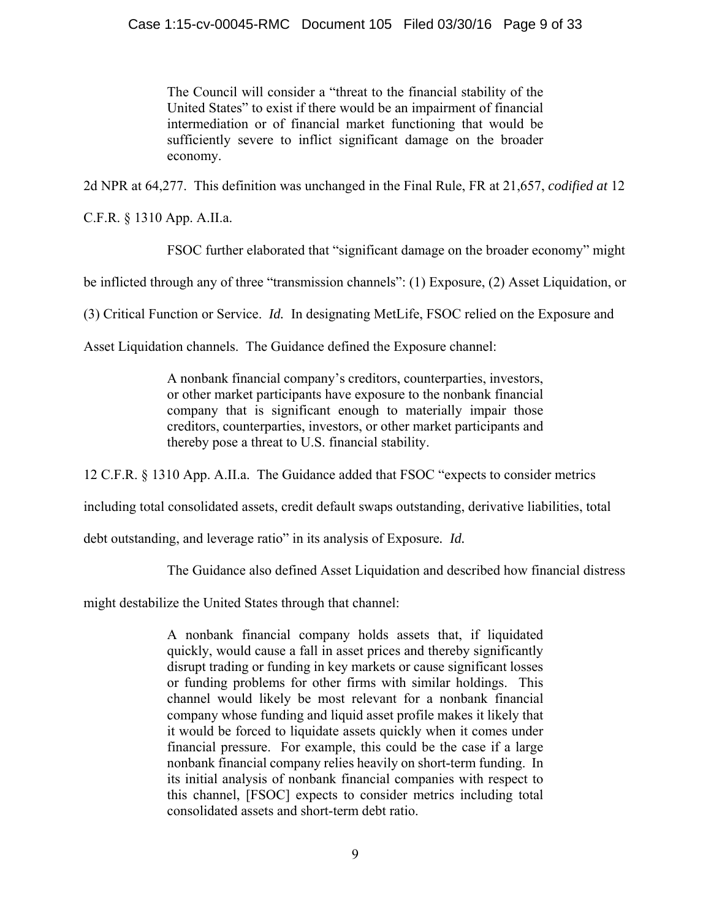The Council will consider a "threat to the financial stability of the United States" to exist if there would be an impairment of financial intermediation or of financial market functioning that would be sufficiently severe to inflict significant damage on the broader economy.

2d NPR at 64,277. This definition was unchanged in the Final Rule, FR at 21,657, *codified at* 12

C.F.R. § 1310 App. A.II.a.

FSOC further elaborated that "significant damage on the broader economy" might

be inflicted through any of three "transmission channels": (1) Exposure, (2) Asset Liquidation, or

(3) Critical Function or Service. *Id.* In designating MetLife, FSOC relied on the Exposure and

Asset Liquidation channels. The Guidance defined the Exposure channel:

A nonbank financial company's creditors, counterparties, investors, or other market participants have exposure to the nonbank financial company that is significant enough to materially impair those creditors, counterparties, investors, or other market participants and thereby pose a threat to U.S. financial stability.

12 C.F.R. § 1310 App. A.II.a. The Guidance added that FSOC "expects to consider metrics

including total consolidated assets, credit default swaps outstanding, derivative liabilities, total

debt outstanding, and leverage ratio" in its analysis of Exposure*. Id.*

The Guidance also defined Asset Liquidation and described how financial distress

might destabilize the United States through that channel:

A nonbank financial company holds assets that, if liquidated quickly, would cause a fall in asset prices and thereby significantly disrupt trading or funding in key markets or cause significant losses or funding problems for other firms with similar holdings. This channel would likely be most relevant for a nonbank financial company whose funding and liquid asset profile makes it likely that it would be forced to liquidate assets quickly when it comes under financial pressure. For example, this could be the case if a large nonbank financial company relies heavily on short-term funding. In its initial analysis of nonbank financial companies with respect to this channel, [FSOC] expects to consider metrics including total consolidated assets and short-term debt ratio.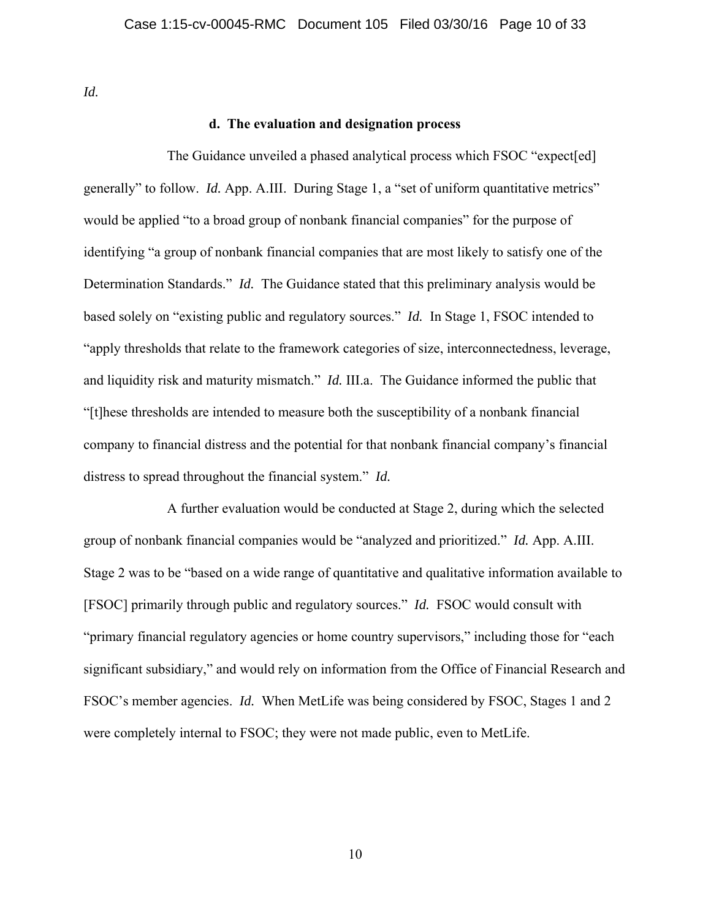*Id.*

## **d. The evaluation and designation process**

 The Guidance unveiled a phased analytical process which FSOC "expect[ed] generally" to follow. *Id.* App. A.III. During Stage 1, a "set of uniform quantitative metrics" would be applied "to a broad group of nonbank financial companies" for the purpose of identifying "a group of nonbank financial companies that are most likely to satisfy one of the Determination Standards." *Id.* The Guidance stated that this preliminary analysis would be based solely on "existing public and regulatory sources." *Id.* In Stage 1, FSOC intended to "apply thresholds that relate to the framework categories of size, interconnectedness, leverage, and liquidity risk and maturity mismatch." *Id.* III.a. The Guidance informed the public that "[t]hese thresholds are intended to measure both the susceptibility of a nonbank financial company to financial distress and the potential for that nonbank financial company's financial distress to spread throughout the financial system." *Id.* 

 A further evaluation would be conducted at Stage 2, during which the selected group of nonbank financial companies would be "analyzed and prioritized." *Id.* App. A.III. Stage 2 was to be "based on a wide range of quantitative and qualitative information available to [FSOC] primarily through public and regulatory sources." *Id.* FSOC would consult with "primary financial regulatory agencies or home country supervisors," including those for "each significant subsidiary," and would rely on information from the Office of Financial Research and FSOC's member agencies. *Id.* When MetLife was being considered by FSOC, Stages 1 and 2 were completely internal to FSOC; they were not made public, even to MetLife.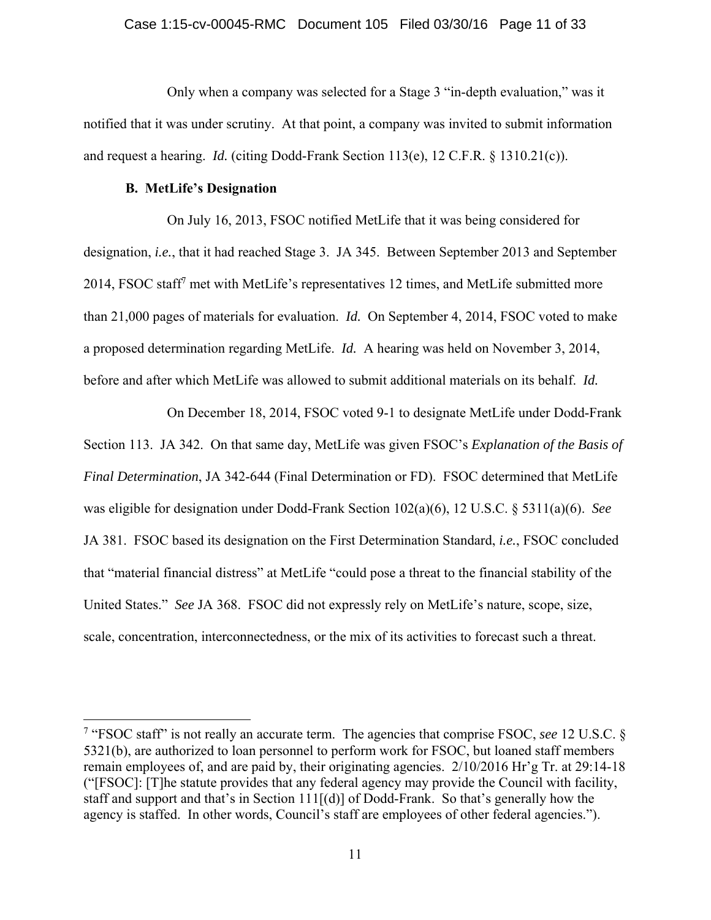### Case 1:15-cv-00045-RMC Document 105 Filed 03/30/16 Page 11 of 33

 Only when a company was selected for a Stage 3 "in-depth evaluation," was it notified that it was under scrutiny. At that point, a company was invited to submit information and request a hearing. *Id.* (citing Dodd-Frank Section 113(e), 12 C.F.R. § 1310.21(c)).

## **B. MetLife's Designation**

 $\overline{a}$ 

On July 16, 2013, FSOC notified MetLife that it was being considered for designation, *i.e.*, that it had reached Stage 3. JA 345. Between September 2013 and September 2014, FSOC staff<sup>7</sup> met with MetLife's representatives 12 times, and MetLife submitted more than 21,000 pages of materials for evaluation. *Id.* On September 4, 2014, FSOC voted to make a proposed determination regarding MetLife. *Id.* A hearing was held on November 3, 2014, before and after which MetLife was allowed to submit additional materials on its behalf. *Id.*

On December 18, 2014, FSOC voted 9-1 to designate MetLife under Dodd-Frank Section 113. JA 342. On that same day, MetLife was given FSOC's *Explanation of the Basis of Final Determination*, JA 342-644 (Final Determination or FD). FSOC determined that MetLife was eligible for designation under Dodd-Frank Section 102(a)(6), 12 U.S.C. § 5311(a)(6). *See*  JA 381. FSOC based its designation on the First Determination Standard, *i.e.*, FSOC concluded that "material financial distress" at MetLife "could pose a threat to the financial stability of the United States." *See* JA 368. FSOC did not expressly rely on MetLife's nature, scope, size, scale, concentration, interconnectedness, or the mix of its activities to forecast such a threat.

<sup>7</sup> "FSOC staff" is not really an accurate term. The agencies that comprise FSOC, *see* 12 U.S.C. § 5321(b), are authorized to loan personnel to perform work for FSOC, but loaned staff members remain employees of, and are paid by, their originating agencies. 2/10/2016 Hr'g Tr. at 29:14-18 ("[FSOC]: [T]he statute provides that any federal agency may provide the Council with facility, staff and support and that's in Section  $111[(d)]$  of Dodd-Frank. So that's generally how the agency is staffed. In other words, Council's staff are employees of other federal agencies.").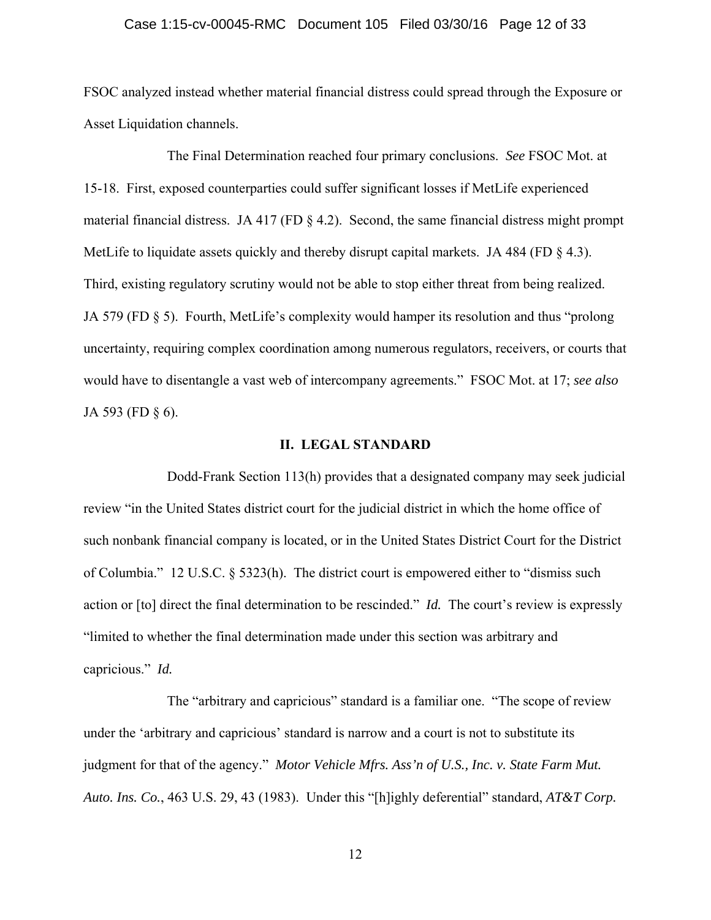### Case 1:15-cv-00045-RMC Document 105 Filed 03/30/16 Page 12 of 33

FSOC analyzed instead whether material financial distress could spread through the Exposure or Asset Liquidation channels.

The Final Determination reached four primary conclusions. *See* FSOC Mot. at 15-18. First, exposed counterparties could suffer significant losses if MetLife experienced material financial distress. JA 417 (FD § 4.2). Second, the same financial distress might prompt MetLife to liquidate assets quickly and thereby disrupt capital markets. JA 484 (FD  $\S$  4.3). Third, existing regulatory scrutiny would not be able to stop either threat from being realized. JA 579 (FD § 5). Fourth, MetLife's complexity would hamper its resolution and thus "prolong uncertainty, requiring complex coordination among numerous regulators, receivers, or courts that would have to disentangle a vast web of intercompany agreements." FSOC Mot. at 17; *see also*  JA 593 (FD § 6).

### **II. LEGAL STANDARD**

Dodd-Frank Section 113(h) provides that a designated company may seek judicial review "in the United States district court for the judicial district in which the home office of such nonbank financial company is located, or in the United States District Court for the District of Columbia." 12 U.S.C. § 5323(h). The district court is empowered either to "dismiss such action or [to] direct the final determination to be rescinded." *Id.* The court's review is expressly "limited to whether the final determination made under this section was arbitrary and capricious." *Id.*

The "arbitrary and capricious" standard is a familiar one. "The scope of review under the 'arbitrary and capricious' standard is narrow and a court is not to substitute its judgment for that of the agency." *Motor Vehicle Mfrs. Ass'n of U.S., Inc. v. State Farm Mut. Auto. Ins. Co.*, 463 U.S. 29, 43 (1983). Under this "[h]ighly deferential" standard, *AT&T Corp.* 

12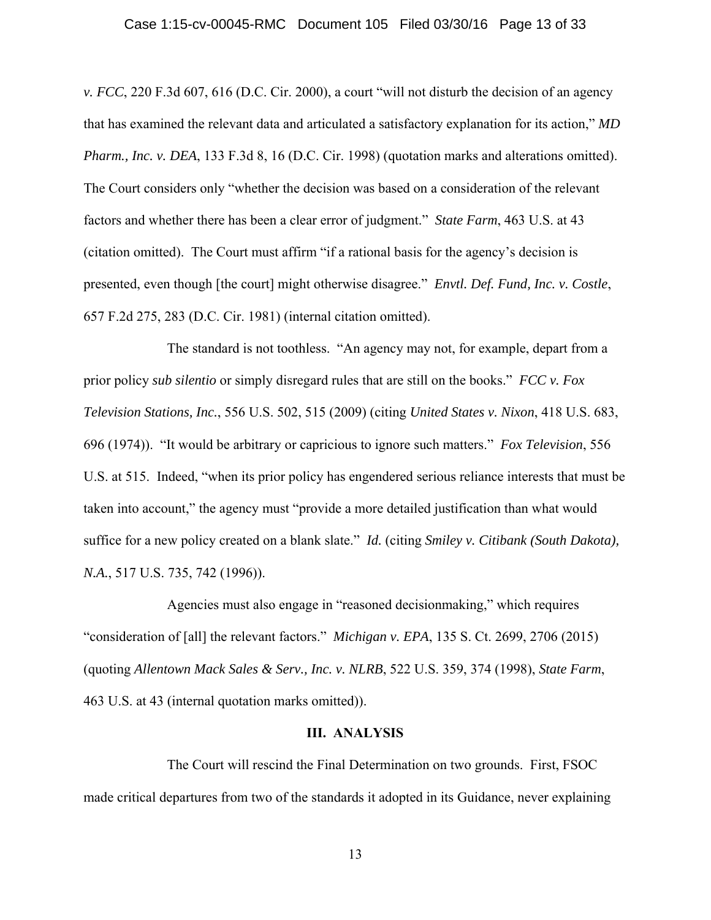### Case 1:15-cv-00045-RMC Document 105 Filed 03/30/16 Page 13 of 33

*v. FCC*, 220 F.3d 607, 616 (D.C. Cir. 2000), a court "will not disturb the decision of an agency that has examined the relevant data and articulated a satisfactory explanation for its action," *MD Pharm., Inc. v. DEA*, 133 F.3d 8, 16 (D.C. Cir. 1998) (quotation marks and alterations omitted). The Court considers only "whether the decision was based on a consideration of the relevant factors and whether there has been a clear error of judgment." *State Farm*, 463 U.S. at 43 (citation omitted). The Court must affirm "if a rational basis for the agency's decision is presented, even though [the court] might otherwise disagree." *Envtl. Def. Fund, Inc. v. Costle*, 657 F.2d 275, 283 (D.C. Cir. 1981) (internal citation omitted).

The standard is not toothless. "An agency may not, for example, depart from a prior policy *sub silentio* or simply disregard rules that are still on the books." *FCC v. Fox Television Stations, Inc.*, 556 U.S. 502, 515 (2009) (citing *United States v. Nixon*, 418 U.S. 683, 696 (1974)). "It would be arbitrary or capricious to ignore such matters." *Fox Television*, 556 U.S. at 515. Indeed, "when its prior policy has engendered serious reliance interests that must be taken into account," the agency must "provide a more detailed justification than what would suffice for a new policy created on a blank slate." *Id.* (citing *Smiley v. Citibank (South Dakota), N.A.*, 517 U.S. 735, 742 (1996)).

Agencies must also engage in "reasoned decisionmaking," which requires "consideration of [all] the relevant factors." *Michigan v. EPA*, 135 S. Ct. 2699, 2706 (2015) (quoting *Allentown Mack Sales & Serv., Inc. v. NLRB*, 522 U.S. 359, 374 (1998), *State Farm*, 463 U.S. at 43 (internal quotation marks omitted)).

### **III. ANALYSIS**

 The Court will rescind the Final Determination on two grounds. First, FSOC made critical departures from two of the standards it adopted in its Guidance, never explaining

13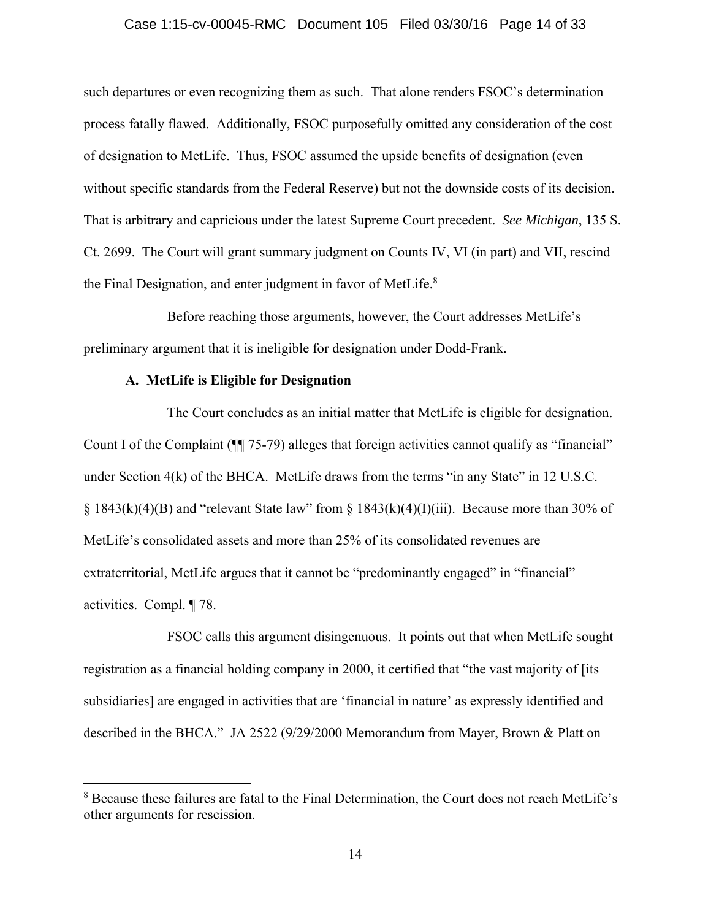### Case 1:15-cv-00045-RMC Document 105 Filed 03/30/16 Page 14 of 33

such departures or even recognizing them as such. That alone renders FSOC's determination process fatally flawed. Additionally, FSOC purposefully omitted any consideration of the cost of designation to MetLife. Thus, FSOC assumed the upside benefits of designation (even without specific standards from the Federal Reserve) but not the downside costs of its decision. That is arbitrary and capricious under the latest Supreme Court precedent. *See Michigan*, 135 S. Ct. 2699. The Court will grant summary judgment on Counts IV, VI (in part) and VII, rescind the Final Designation, and enter judgment in favor of MetLife.<sup>8</sup>

Before reaching those arguments, however, the Court addresses MetLife's preliminary argument that it is ineligible for designation under Dodd-Frank.

## **A. MetLife is Eligible for Designation**

 $\overline{a}$ 

The Court concludes as an initial matter that MetLife is eligible for designation. Count I of the Complaint (¶¶ 75-79) alleges that foreign activities cannot qualify as "financial" under Section 4(k) of the BHCA. MetLife draws from the terms "in any State" in 12 U.S.C.  $\S$  1843(k)(4)(B) and "relevant State law" from  $\S$  1843(k)(4)(I)(iii). Because more than 30% of MetLife's consolidated assets and more than 25% of its consolidated revenues are extraterritorial, MetLife argues that it cannot be "predominantly engaged" in "financial" activities. Compl. ¶ 78.

FSOC calls this argument disingenuous. It points out that when MetLife sought registration as a financial holding company in 2000, it certified that "the vast majority of [its subsidiaries] are engaged in activities that are 'financial in nature' as expressly identified and described in the BHCA."JA 2522 (9/29/2000 Memorandum from Mayer, Brown & Platt on

<sup>&</sup>lt;sup>8</sup> Because these failures are fatal to the Final Determination, the Court does not reach MetLife's other arguments for rescission.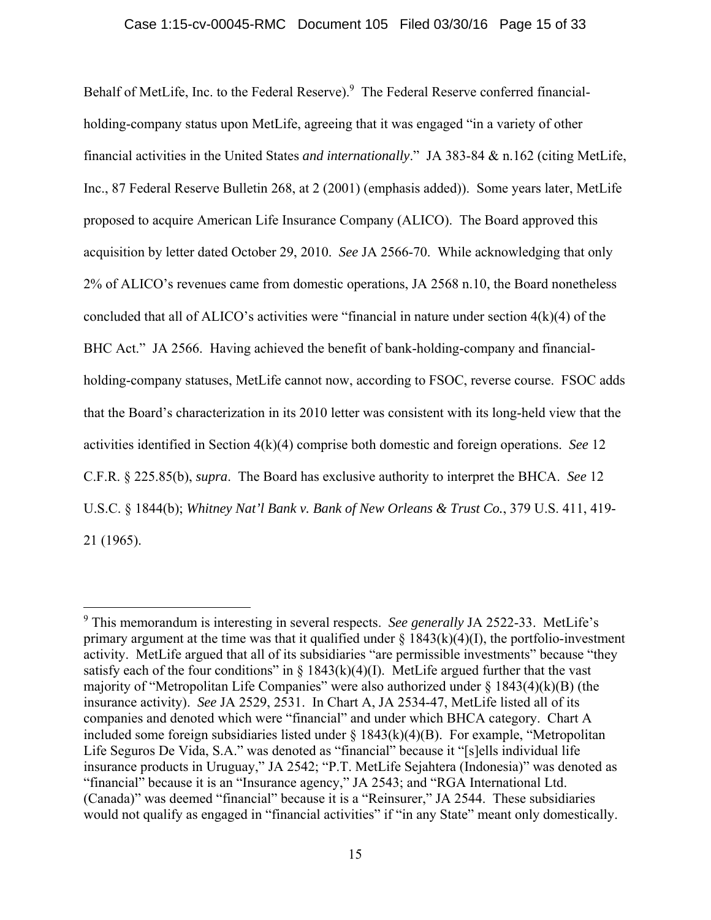Behalf of MetLife, Inc. to the Federal Reserve).<sup>9</sup> The Federal Reserve conferred financialholding-company status upon MetLife, agreeing that it was engaged "in a variety of other financial activities in the United States *and internationally*." JA 383-84 & n.162 (citing MetLife, Inc., 87 Federal Reserve Bulletin 268, at 2 (2001) (emphasis added)). Some years later, MetLife proposed to acquire American Life Insurance Company (ALICO). The Board approved this acquisition by letter dated October 29, 2010. *See* JA 2566-70. While acknowledging that only 2% of ALICO's revenues came from domestic operations, JA 2568 n.10, the Board nonetheless concluded that all of ALICO's activities were "financial in nature under section 4(k)(4) of the BHC Act." JA 2566. Having achieved the benefit of bank-holding-company and financialholding-company statuses, MetLife cannot now, according to FSOC, reverse course. FSOC adds that the Board's characterization in its 2010 letter was consistent with its long-held view that the activities identified in Section 4(k)(4) comprise both domestic and foreign operations. *See* 12 C.F.R. § 225.85(b), *supra*. The Board has exclusive authority to interpret the BHCA. *See* 12 U.S.C. § 1844(b); *Whitney Nat'l Bank v. Bank of New Orleans & Trust Co.*, 379 U.S. 411, 419- 21 (1965).

<sup>9</sup> This memorandum is interesting in several respects. *See generally* JA 2522-33. MetLife's primary argument at the time was that it qualified under  $\S 1843(k)(4)(I)$ , the portfolio-investment activity. MetLife argued that all of its subsidiaries "are permissible investments" because "they satisfy each of the four conditions" in  $\S$  1843(k)(4)(I). MetLife argued further that the vast majority of "Metropolitan Life Companies" were also authorized under  $\S$  1843(4)(k)(B) (the insurance activity). *See* JA 2529, 2531. In Chart A, JA 2534-47, MetLife listed all of its companies and denoted which were "financial" and under which BHCA category. Chart A included some foreign subsidiaries listed under  $\S$  1843(k)(4)(B). For example, "Metropolitan Life Seguros De Vida, S.A." was denoted as "financial" because it "[s]ells individual life insurance products in Uruguay," JA 2542; "P.T. MetLife Sejahtera (Indonesia)" was denoted as "financial" because it is an "Insurance agency," JA 2543; and "RGA International Ltd. (Canada)" was deemed "financial" because it is a "Reinsurer," JA 2544. These subsidiaries would not qualify as engaged in "financial activities" if "in any State" meant only domestically.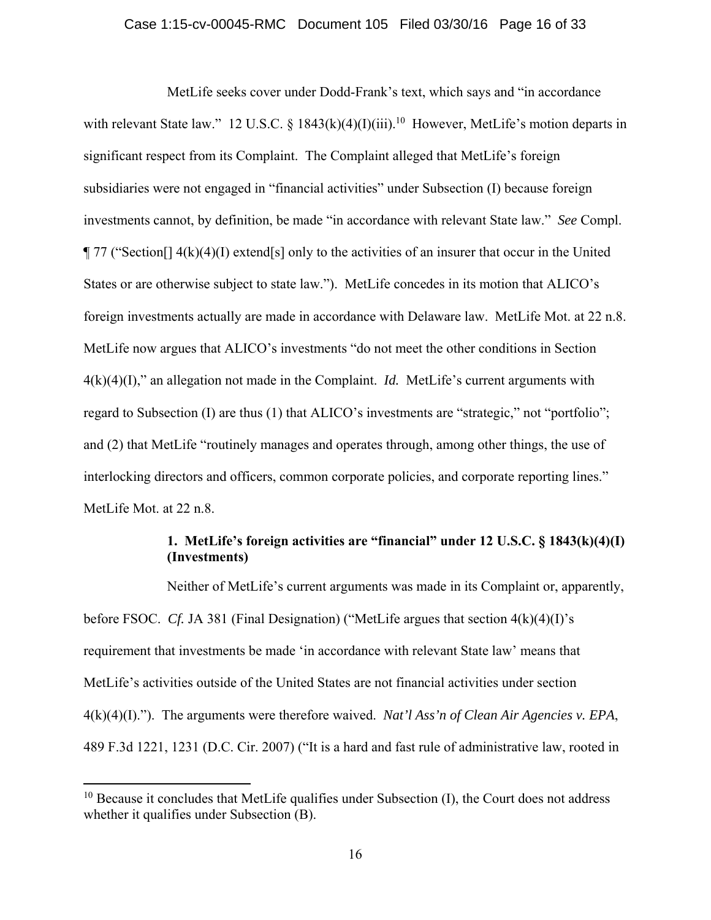MetLife seeks cover under Dodd-Frank's text, which says and "in accordance with relevant State law." 12 U.S.C. § 1843(k)(4)(I)(iii).<sup>10</sup> However, MetLife's motion departs in significant respect from its Complaint. The Complaint alleged that MetLife's foreign subsidiaries were not engaged in "financial activities" under Subsection (I) because foreign investments cannot, by definition, be made "in accordance with relevant State law." *See* Compl.  $\P$  77 ("Section []  $4(k)(4)(I)$  extend [s] only to the activities of an insurer that occur in the United States or are otherwise subject to state law."). MetLife concedes in its motion that ALICO's foreign investments actually are made in accordance with Delaware law. MetLife Mot. at 22 n.8. MetLife now argues that ALICO's investments "do not meet the other conditions in Section  $4(k)(4)(I)$ ," an allegation not made in the Complaint. *Id.* MetLife's current arguments with regard to Subsection (I) are thus (1) that ALICO's investments are "strategic," not "portfolio"; and (2) that MetLife "routinely manages and operates through, among other things, the use of interlocking directors and officers, common corporate policies, and corporate reporting lines." MetLife Mot. at 22 n.8.

# **1. MetLife's foreign activities are "financial" under 12 U.S.C. § 1843(k)(4)(I) (Investments)**

Neither of MetLife's current arguments was made in its Complaint or, apparently, before FSOC. *Cf.* JA 381 (Final Designation) ("MetLife argues that section 4(k)(4)(I)'s requirement that investments be made 'in accordance with relevant State law' means that MetLife's activities outside of the United States are not financial activities under section 4(k)(4)(I)."). The arguments were therefore waived. *Nat'l Ass'n of Clean Air Agencies v. EPA*, 489 F.3d 1221, 1231 (D.C. Cir. 2007) ("It is a hard and fast rule of administrative law, rooted in

 $10$  Because it concludes that MetLife qualifies under Subsection (I), the Court does not address whether it qualifies under Subsection (B).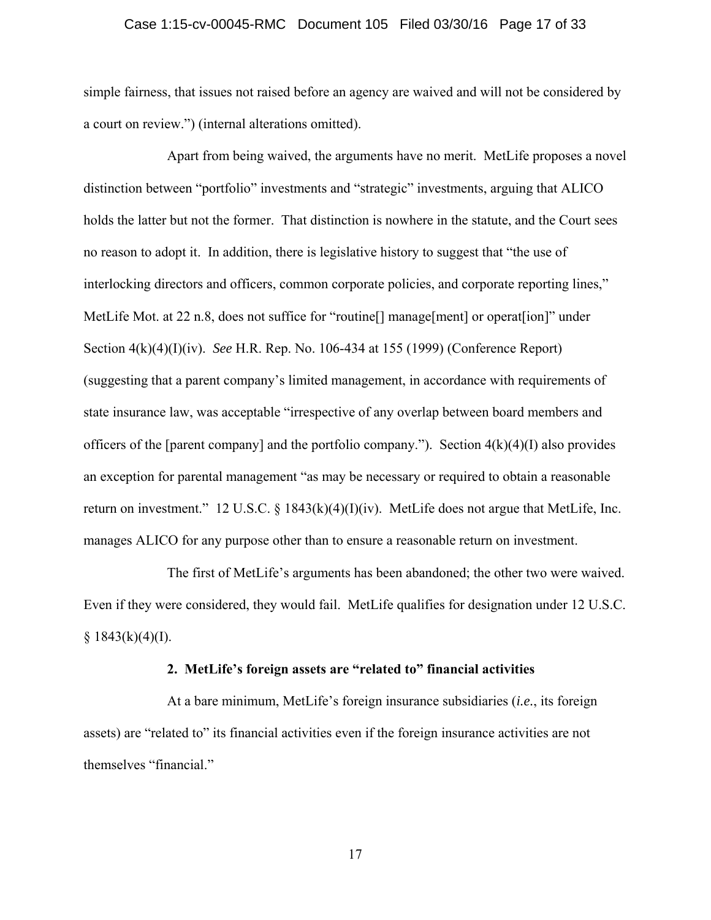### Case 1:15-cv-00045-RMC Document 105 Filed 03/30/16 Page 17 of 33

simple fairness, that issues not raised before an agency are waived and will not be considered by a court on review.") (internal alterations omitted).

Apart from being waived, the arguments have no merit. MetLife proposes a novel distinction between "portfolio" investments and "strategic" investments, arguing that ALICO holds the latter but not the former. That distinction is nowhere in the statute, and the Court sees no reason to adopt it. In addition, there is legislative history to suggest that "the use of interlocking directors and officers, common corporate policies, and corporate reporting lines," MetLife Mot. at 22 n.8, does not suffice for "routine<sup>[]</sup> manage[ment] or operat[ion]" under Section 4(k)(4)(I)(iv). *See* H.R. Rep. No. 106-434 at 155 (1999) (Conference Report) (suggesting that a parent company's limited management, in accordance with requirements of state insurance law, was acceptable "irrespective of any overlap between board members and officers of the [parent company] and the portfolio company."). Section  $4(k)(4)(I)$  also provides an exception for parental management "as may be necessary or required to obtain a reasonable return on investment." 12 U.S.C. § 1843(k)(4)(I)(iv). MetLife does not argue that MetLife, Inc. manages ALICO for any purpose other than to ensure a reasonable return on investment.

The first of MetLife's arguments has been abandoned; the other two were waived. Even if they were considered, they would fail. MetLife qualifies for designation under 12 U.S.C.  $§$  1843(k)(4)(I).

### **2. MetLife's foreign assets are "related to" financial activities**

At a bare minimum, MetLife's foreign insurance subsidiaries (*i.e.*, its foreign assets) are "related to" its financial activities even if the foreign insurance activities are not themselves "financial."

17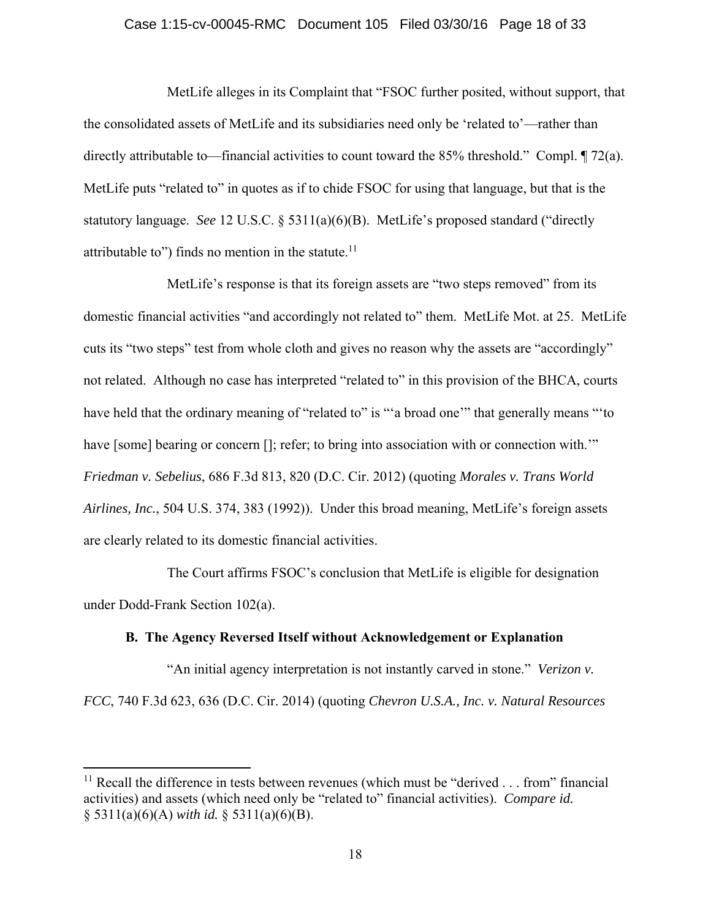### Case 1:15-cv-00045-RMC Document 105 Filed 03/30/16 Page 18 of 33

MetLife alleges in its Complaint that "FSOC further posited, without support, that the consolidated assets of MetLife and its subsidiaries need only be 'related to'—rather than directly attributable to—financial activities to count toward the 85% threshold." Compl. ¶ 72(a). MetLife puts "related to" in quotes as if to chide FSOC for using that language, but that is the statutory language. *See* 12 U.S.C. § 5311(a)(6)(B). MetLife's proposed standard ("directly attributable to") finds no mention in the statute. $11$ 

MetLife's response is that its foreign assets are "two steps removed" from its domestic financial activities "and accordingly not related to" them. MetLife Mot. at 25. MetLife cuts its "two steps" test from whole cloth and gives no reason why the assets are "accordingly" not related. Although no case has interpreted "related to" in this provision of the BHCA, courts have held that the ordinary meaning of "related to" is ""a broad one" that generally means ""to have [some] bearing or concern []; refer; to bring into association with or connection with.'" *Friedman v. Sebelius*, 686 F.3d 813, 820 (D.C. Cir. 2012) (quoting *Morales v. Trans World Airlines, Inc.*, 504 U.S. 374, 383 (1992)). Under this broad meaning, MetLife's foreign assets are clearly related to its domestic financial activities.

The Court affirms FSOC's conclusion that MetLife is eligible for designation under Dodd-Frank Section 102(a).

## **B. The Agency Reversed Itself without Acknowledgement or Explanation**

 "An initial agency interpretation is not instantly carved in stone." *Verizon v. FCC*, 740 F.3d 623, 636 (D.C. Cir. 2014) (quoting *Chevron U.S.A., Inc. v. Natural Resources* 

 $11$  Recall the difference in tests between revenues (which must be "derived . . . from" financial activities) and assets (which need only be "related to" financial activities). *Compare id.*  § 5311(a)(6)(A) *with id.* § 5311(a)(6)(B).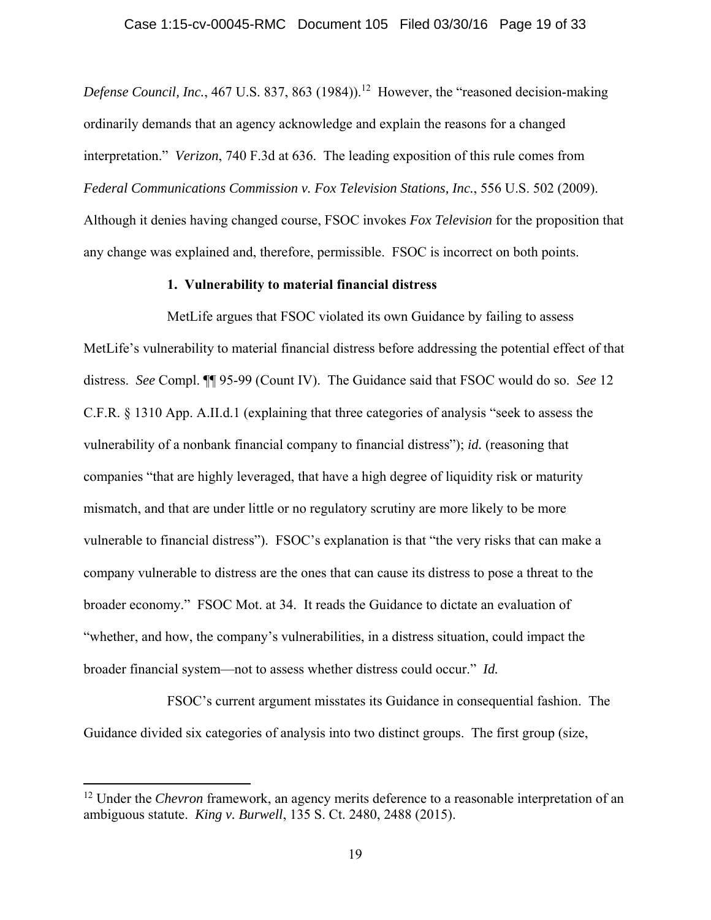*Defense Council, Inc.*, 467 U.S. 837, 863 (1984)).<sup>12</sup> However, the "reasoned decision-making ordinarily demands that an agency acknowledge and explain the reasons for a changed interpretation." *Verizon*, 740 F.3d at 636. The leading exposition of this rule comes from *Federal Communications Commission v. Fox Television Stations, Inc.*, 556 U.S. 502 (2009). Although it denies having changed course, FSOC invokes *Fox Television* for the proposition that any change was explained and, therefore, permissible. FSOC is incorrect on both points.

### **1. Vulnerability to material financial distress**

MetLife argues that FSOC violated its own Guidance by failing to assess MetLife's vulnerability to material financial distress before addressing the potential effect of that distress. *See* Compl. ¶¶ 95-99 (Count IV). The Guidance said that FSOC would do so. *See* 12 C.F.R. § 1310 App. A.II.d.1 (explaining that three categories of analysis "seek to assess the vulnerability of a nonbank financial company to financial distress"); *id.* (reasoning that companies "that are highly leveraged, that have a high degree of liquidity risk or maturity mismatch, and that are under little or no regulatory scrutiny are more likely to be more vulnerable to financial distress"). FSOC's explanation is that "the very risks that can make a company vulnerable to distress are the ones that can cause its distress to pose a threat to the broader economy." FSOC Mot. at 34. It reads the Guidance to dictate an evaluation of "whether, and how, the company's vulnerabilities, in a distress situation, could impact the broader financial system—not to assess whether distress could occur." *Id.*

FSOC's current argument misstates its Guidance in consequential fashion. The Guidance divided six categories of analysis into two distinct groups. The first group (size,

<sup>&</sup>lt;sup>12</sup> Under the *Chevron* framework, an agency merits deference to a reasonable interpretation of an ambiguous statute. *King v. Burwell*, 135 S. Ct. 2480, 2488 (2015).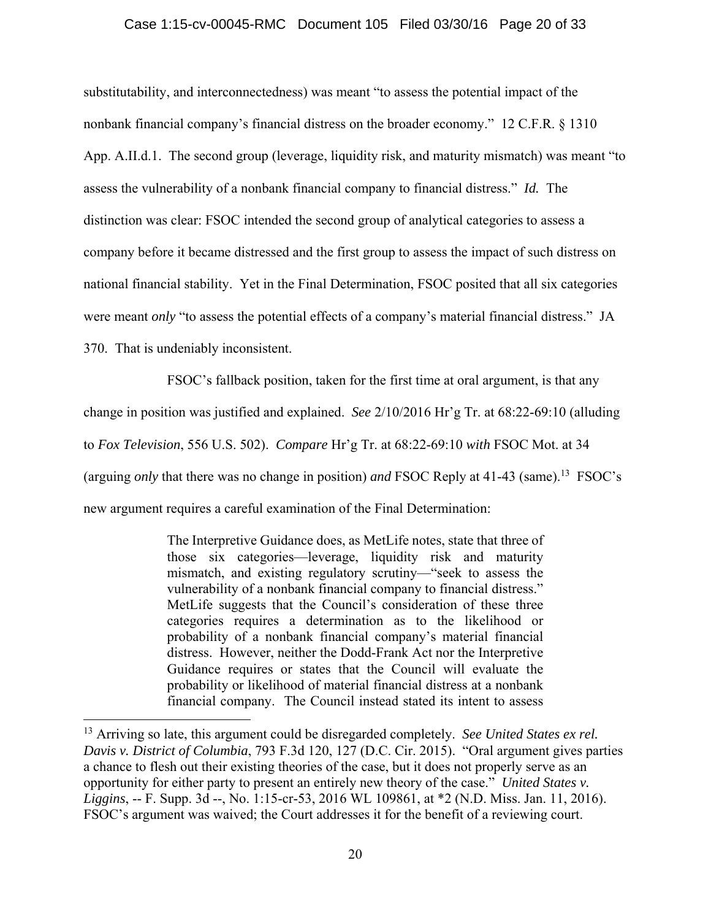## Case 1:15-cv-00045-RMC Document 105 Filed 03/30/16 Page 20 of 33

substitutability, and interconnectedness) was meant "to assess the potential impact of the nonbank financial company's financial distress on the broader economy." 12 C.F.R. § 1310 App. A.II.d.1. The second group (leverage, liquidity risk, and maturity mismatch) was meant "to assess the vulnerability of a nonbank financial company to financial distress." *Id.* The distinction was clear: FSOC intended the second group of analytical categories to assess a company before it became distressed and the first group to assess the impact of such distress on national financial stability. Yet in the Final Determination, FSOC posited that all six categories were meant *only* "to assess the potential effects of a company's material financial distress." JA 370. That is undeniably inconsistent.

FSOC's fallback position, taken for the first time at oral argument, is that any change in position was justified and explained. *See* 2/10/2016 Hr'g Tr. at 68:22-69:10 (alluding to *Fox Television*, 556 U.S. 502). *Compare* Hr'g Tr. at 68:22-69:10 *with* FSOC Mot. at 34 (arguing *only* that there was no change in position) *and* FSOC Reply at 41-43 (same).13 FSOC's new argument requires a careful examination of the Final Determination:

> The Interpretive Guidance does, as MetLife notes, state that three of those six categories—leverage, liquidity risk and maturity mismatch, and existing regulatory scrutiny—"seek to assess the vulnerability of a nonbank financial company to financial distress." MetLife suggests that the Council's consideration of these three categories requires a determination as to the likelihood or probability of a nonbank financial company's material financial distress. However, neither the Dodd-Frank Act nor the Interpretive Guidance requires or states that the Council will evaluate the probability or likelihood of material financial distress at a nonbank financial company. The Council instead stated its intent to assess

<sup>13</sup> Arriving so late, this argument could be disregarded completely. *See United States ex rel. Davis v. District of Columbia*, 793 F.3d 120, 127 (D.C. Cir. 2015). "Oral argument gives parties a chance to flesh out their existing theories of the case, but it does not properly serve as an opportunity for either party to present an entirely new theory of the case." *United States v. Liggins*, -- F. Supp. 3d --, No. 1:15-cr-53, 2016 WL 109861, at \*2 (N.D. Miss. Jan. 11, 2016). FSOC's argument was waived; the Court addresses it for the benefit of a reviewing court.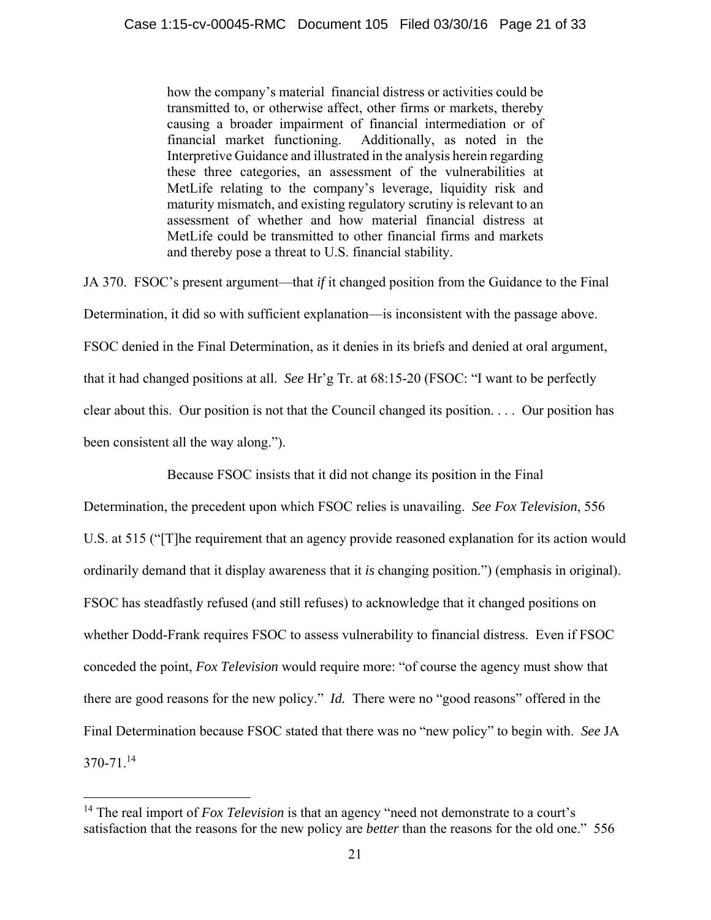how the company's material financial distress or activities could be transmitted to, or otherwise affect, other firms or markets, thereby causing a broader impairment of financial intermediation or of financial market functioning. Additionally, as noted in the Interpretive Guidance and illustrated in the analysis herein regarding these three categories, an assessment of the vulnerabilities at MetLife relating to the company's leverage, liquidity risk and maturity mismatch, and existing regulatory scrutiny is relevant to an assessment of whether and how material financial distress at MetLife could be transmitted to other financial firms and markets and thereby pose a threat to U.S. financial stability.

JA 370. FSOC's present argument—that *if* it changed position from the Guidance to the Final Determination, it did so with sufficient explanation—is inconsistent with the passage above. FSOC denied in the Final Determination, as it denies in its briefs and denied at oral argument, that it had changed positions at all. *See* Hr'g Tr. at 68:15-20 (FSOC: "I want to be perfectly clear about this. Our position is not that the Council changed its position. . . . Our position has been consistent all the way along.").

Because FSOC insists that it did not change its position in the Final

Determination, the precedent upon which FSOC relies is unavailing. *See Fox Television*, 556 U.S. at 515 ("[T]he requirement that an agency provide reasoned explanation for its action would ordinarily demand that it display awareness that it *is* changing position.") (emphasis in original). FSOC has steadfastly refused (and still refuses) to acknowledge that it changed positions on whether Dodd-Frank requires FSOC to assess vulnerability to financial distress. Even if FSOC conceded the point, *Fox Television* would require more: "of course the agency must show that there are good reasons for the new policy." *Id.* There were no "good reasons" offered in the Final Determination because FSOC stated that there was no "new policy" to begin with. *See* JA 370-71.<sup>14</sup>

<sup>&</sup>lt;sup>14</sup> The real import of *Fox Television* is that an agency "need not demonstrate to a court's satisfaction that the reasons for the new policy are *better* than the reasons for the old one." 556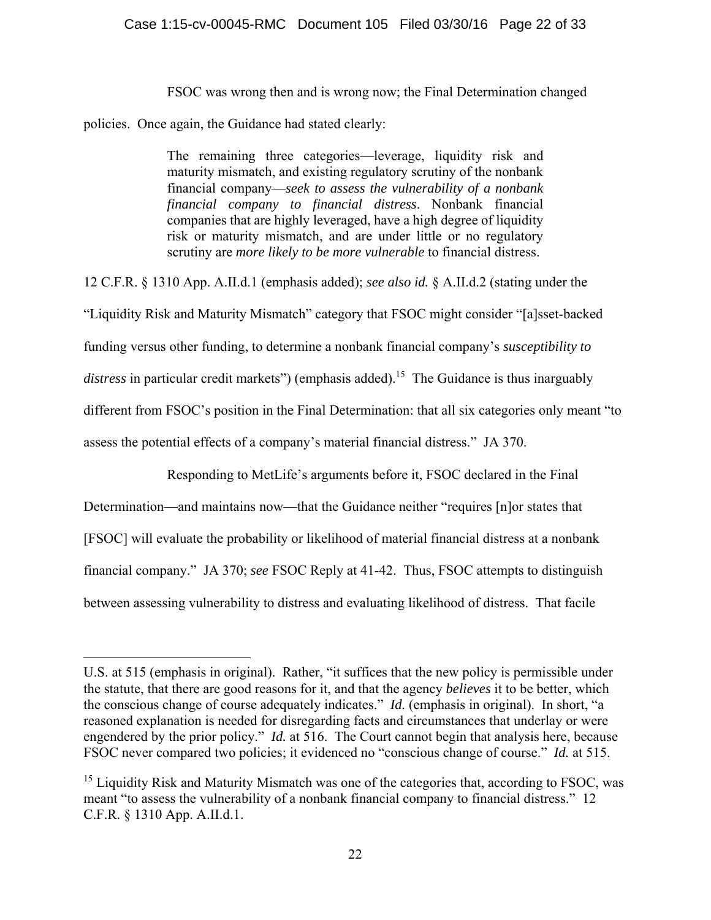FSOC was wrong then and is wrong now; the Final Determination changed

policies. Once again, the Guidance had stated clearly:

1

The remaining three categories—leverage, liquidity risk and maturity mismatch, and existing regulatory scrutiny of the nonbank financial company—*seek to assess the vulnerability of a nonbank financial company to financial distress*. Nonbank financial companies that are highly leveraged, have a high degree of liquidity risk or maturity mismatch, and are under little or no regulatory scrutiny are *more likely to be more vulnerable* to financial distress.

12 C.F.R. § 1310 App. A.II.d.1 (emphasis added); *see also id.* § A.II.d.2 (stating under the "Liquidity Risk and Maturity Mismatch" category that FSOC might consider "[a]sset-backed funding versus other funding, to determine a nonbank financial company's *susceptibility to*  distress in particular credit markets") (emphasis added).<sup>15</sup> The Guidance is thus inarguably different from FSOC's position in the Final Determination: that all six categories only meant "to assess the potential effects of a company's material financial distress." JA 370.

Responding to MetLife's arguments before it, FSOC declared in the Final

Determination—and maintains now—that the Guidance neither "requires [n]or states that [FSOC] will evaluate the probability or likelihood of material financial distress at a nonbank financial company." JA 370; *see* FSOC Reply at 41-42. Thus, FSOC attempts to distinguish between assessing vulnerability to distress and evaluating likelihood of distress. That facile

U.S. at 515 (emphasis in original). Rather, "it suffices that the new policy is permissible under the statute, that there are good reasons for it, and that the agency *believes* it to be better, which the conscious change of course adequately indicates." *Id.* (emphasis in original). In short, "a reasoned explanation is needed for disregarding facts and circumstances that underlay or were engendered by the prior policy." *Id.* at 516. The Court cannot begin that analysis here, because FSOC never compared two policies; it evidenced no "conscious change of course." *Id.* at 515.

<sup>&</sup>lt;sup>15</sup> Liquidity Risk and Maturity Mismatch was one of the categories that, according to FSOC, was meant "to assess the vulnerability of a nonbank financial company to financial distress." 12 C.F.R. § 1310 App. A.II.d.1.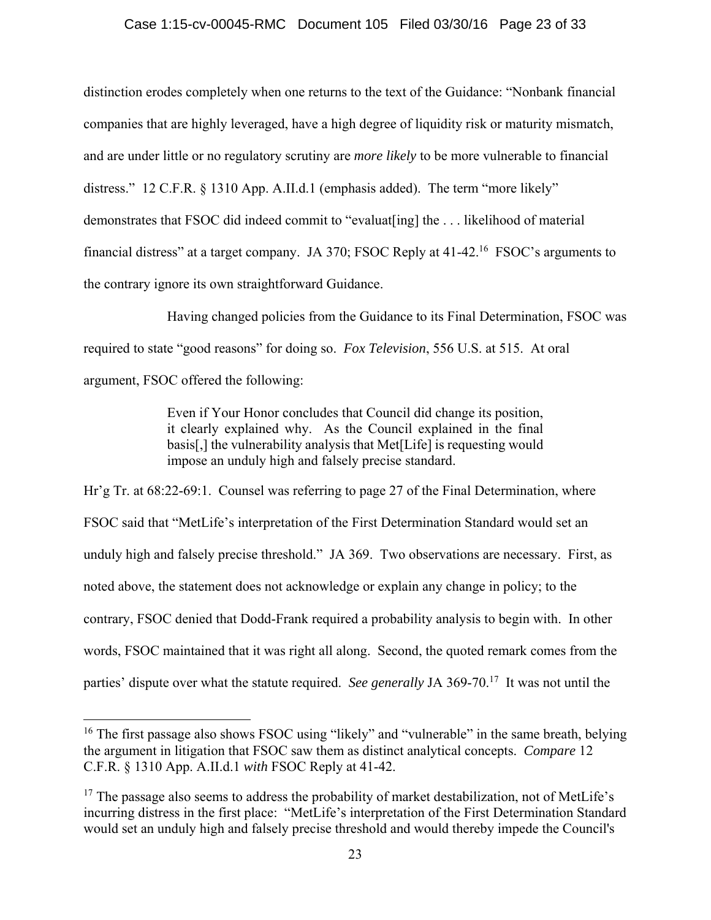## Case 1:15-cv-00045-RMC Document 105 Filed 03/30/16 Page 23 of 33

distinction erodes completely when one returns to the text of the Guidance: "Nonbank financial companies that are highly leveraged, have a high degree of liquidity risk or maturity mismatch, and are under little or no regulatory scrutiny are *more likely* to be more vulnerable to financial distress." 12 C.F.R. § 1310 App. A.II.d.1 (emphasis added). The term "more likely" demonstrates that FSOC did indeed commit to "evaluat[ing] the . . . likelihood of material financial distress" at a target company. JA 370; FSOC Reply at 41-42.16 FSOC's arguments to the contrary ignore its own straightforward Guidance.

Having changed policies from the Guidance to its Final Determination, FSOC was required to state "good reasons" for doing so. *Fox Television*, 556 U.S. at 515. At oral argument, FSOC offered the following:

> Even if Your Honor concludes that Council did change its position, it clearly explained why. As the Council explained in the final basis[,] the vulnerability analysis that Met[Life] is requesting would impose an unduly high and falsely precise standard.

Hr'g Tr. at 68:22-69:1. Counsel was referring to page 27 of the Final Determination, where FSOC said that "MetLife's interpretation of the First Determination Standard would set an unduly high and falsely precise threshold." JA 369. Two observations are necessary. First, as noted above, the statement does not acknowledge or explain any change in policy; to the contrary, FSOC denied that Dodd-Frank required a probability analysis to begin with. In other words, FSOC maintained that it was right all along. Second, the quoted remark comes from the parties' dispute over what the statute required. *See generally JA* 369-70.<sup>17</sup> It was not until the

<sup>&</sup>lt;sup>16</sup> The first passage also shows FSOC using "likely" and "vulnerable" in the same breath, belying the argument in litigation that FSOC saw them as distinct analytical concepts. *Compare* 12 C.F.R. § 1310 App. A.II.d.1 *with* FSOC Reply at 41-42.

 $17$  The passage also seems to address the probability of market destabilization, not of MetLife's incurring distress in the first place: "MetLife's interpretation of the First Determination Standard would set an unduly high and falsely precise threshold and would thereby impede the Council's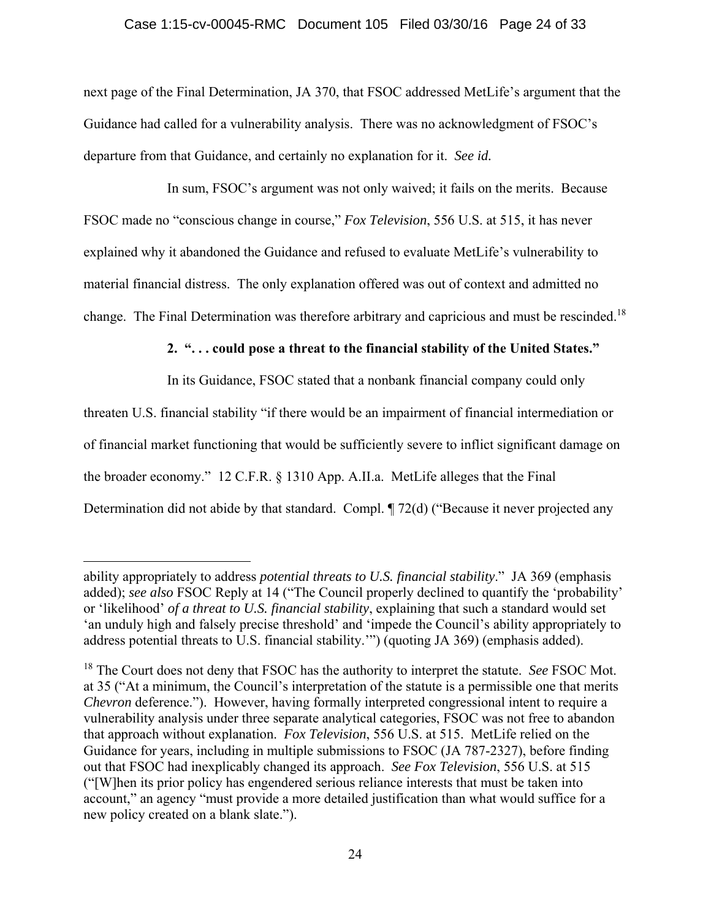## Case 1:15-cv-00045-RMC Document 105 Filed 03/30/16 Page 24 of 33

next page of the Final Determination, JA 370, that FSOC addressed MetLife's argument that the Guidance had called for a vulnerability analysis. There was no acknowledgment of FSOC's departure from that Guidance, and certainly no explanation for it. *See id.*

In sum, FSOC's argument was not only waived; it fails on the merits. Because FSOC made no "conscious change in course," *Fox Television*, 556 U.S. at 515, it has never explained why it abandoned the Guidance and refused to evaluate MetLife's vulnerability to material financial distress. The only explanation offered was out of context and admitted no change. The Final Determination was therefore arbitrary and capricious and must be rescinded.<sup>18</sup>

# **2. ". . . could pose a threat to the financial stability of the United States."**

In its Guidance, FSOC stated that a nonbank financial company could only

threaten U.S. financial stability "if there would be an impairment of financial intermediation or of financial market functioning that would be sufficiently severe to inflict significant damage on the broader economy." 12 C.F.R. § 1310 App. A.II.a. MetLife alleges that the Final Determination did not abide by that standard. Compl. ¶ 72(d) ("Because it never projected any

ability appropriately to address *potential threats to U.S. financial stability*." JA 369 (emphasis added); *see also* FSOC Reply at 14 ("The Council properly declined to quantify the 'probability' or 'likelihood' *of a threat to U.S. financial stability*, explaining that such a standard would set 'an unduly high and falsely precise threshold' and 'impede the Council's ability appropriately to address potential threats to U.S. financial stability.'") (quoting JA 369) (emphasis added).

<sup>18</sup> The Court does not deny that FSOC has the authority to interpret the statute. *See* FSOC Mot. at 35 ("At a minimum, the Council's interpretation of the statute is a permissible one that merits *Chevron* deference."). However, having formally interpreted congressional intent to require a vulnerability analysis under three separate analytical categories, FSOC was not free to abandon that approach without explanation. *Fox Television*, 556 U.S. at 515. MetLife relied on the Guidance for years, including in multiple submissions to FSOC (JA 787-2327), before finding out that FSOC had inexplicably changed its approach. *See Fox Television*, 556 U.S. at 515 ("[W]hen its prior policy has engendered serious reliance interests that must be taken into account," an agency "must provide a more detailed justification than what would suffice for a new policy created on a blank slate.").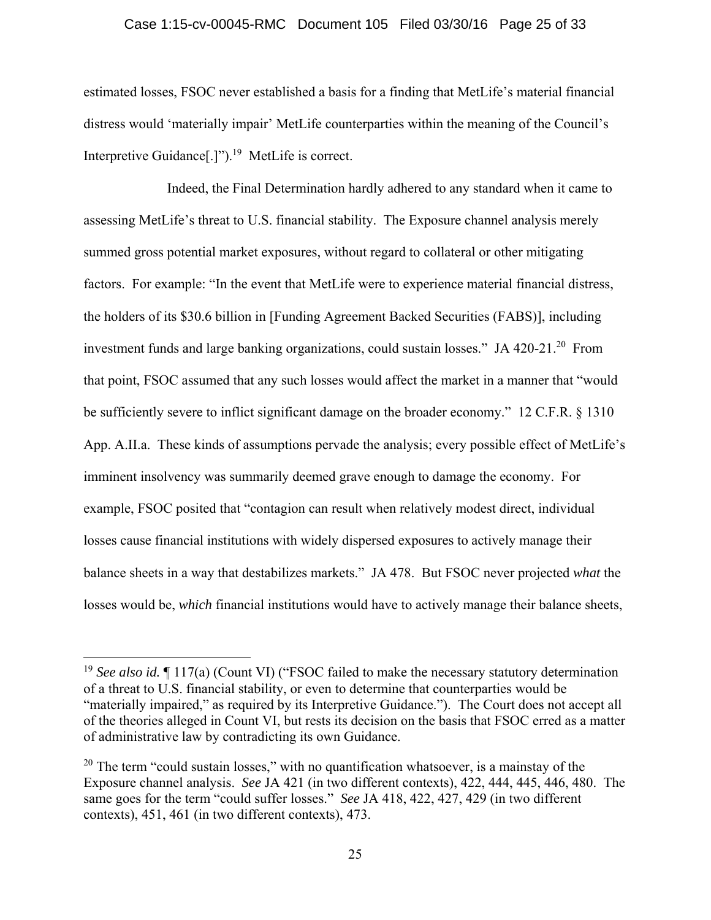### Case 1:15-cv-00045-RMC Document 105 Filed 03/30/16 Page 25 of 33

estimated losses, FSOC never established a basis for a finding that MetLife's material financial distress would 'materially impair' MetLife counterparties within the meaning of the Council's Interpretive Guidance<sup>[.]"</sup>).<sup>19</sup> MetLife is correct.

Indeed, the Final Determination hardly adhered to any standard when it came to assessing MetLife's threat to U.S. financial stability. The Exposure channel analysis merely summed gross potential market exposures, without regard to collateral or other mitigating factors. For example: "In the event that MetLife were to experience material financial distress, the holders of its \$30.6 billion in [Funding Agreement Backed Securities (FABS)], including investment funds and large banking organizations, could sustain losses." JA 420-21.<sup>20</sup> From that point, FSOC assumed that any such losses would affect the market in a manner that "would be sufficiently severe to inflict significant damage on the broader economy." 12 C.F.R. § 1310 App. A.II.a. These kinds of assumptions pervade the analysis; every possible effect of MetLife's imminent insolvency was summarily deemed grave enough to damage the economy. For example, FSOC posited that "contagion can result when relatively modest direct, individual losses cause financial institutions with widely dispersed exposures to actively manage their balance sheets in a way that destabilizes markets." JA 478. But FSOC never projected *what* the losses would be, *which* financial institutions would have to actively manage their balance sheets,

<sup>&</sup>lt;sup>19</sup> *See also id.* 117(a) (Count VI) ("FSOC failed to make the necessary statutory determination of a threat to U.S. financial stability, or even to determine that counterparties would be "materially impaired," as required by its Interpretive Guidance."). The Court does not accept all of the theories alleged in Count VI, but rests its decision on the basis that FSOC erred as a matter of administrative law by contradicting its own Guidance.

 $20$  The term "could sustain losses," with no quantification whatsoever, is a mainstay of the Exposure channel analysis. *See* JA 421 (in two different contexts), 422, 444, 445, 446, 480. The same goes for the term "could suffer losses." *See* JA 418, 422, 427, 429 (in two different contexts), 451, 461 (in two different contexts), 473.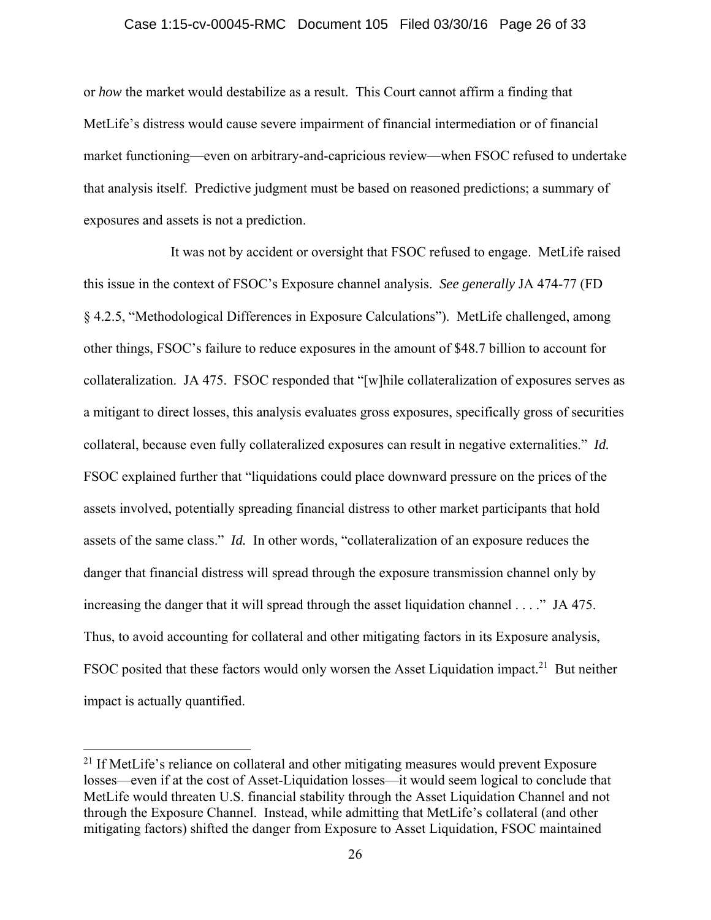### Case 1:15-cv-00045-RMC Document 105 Filed 03/30/16 Page 26 of 33

or *how* the market would destabilize as a result. This Court cannot affirm a finding that MetLife's distress would cause severe impairment of financial intermediation or of financial market functioning—even on arbitrary-and-capricious review—when FSOC refused to undertake that analysis itself. Predictive judgment must be based on reasoned predictions; a summary of exposures and assets is not a prediction.

 It was not by accident or oversight that FSOC refused to engage. MetLife raised this issue in the context of FSOC's Exposure channel analysis. *See generally* JA 474-77 (FD § 4.2.5, "Methodological Differences in Exposure Calculations"). MetLife challenged, among other things, FSOC's failure to reduce exposures in the amount of \$48.7 billion to account for collateralization. JA 475. FSOC responded that "[w]hile collateralization of exposures serves as a mitigant to direct losses, this analysis evaluates gross exposures, specifically gross of securities collateral, because even fully collateralized exposures can result in negative externalities." *Id.* FSOC explained further that "liquidations could place downward pressure on the prices of the assets involved, potentially spreading financial distress to other market participants that hold assets of the same class." *Id.* In other words, "collateralization of an exposure reduces the danger that financial distress will spread through the exposure transmission channel only by increasing the danger that it will spread through the asset liquidation channel . . . ." JA 475. Thus, to avoid accounting for collateral and other mitigating factors in its Exposure analysis, FSOC posited that these factors would only worsen the Asset Liquidation impact.<sup>21</sup> But neither impact is actually quantified.

 $21$  If MetLife's reliance on collateral and other mitigating measures would prevent Exposure losses—even if at the cost of Asset-Liquidation losses—it would seem logical to conclude that MetLife would threaten U.S. financial stability through the Asset Liquidation Channel and not through the Exposure Channel. Instead, while admitting that MetLife's collateral (and other mitigating factors) shifted the danger from Exposure to Asset Liquidation, FSOC maintained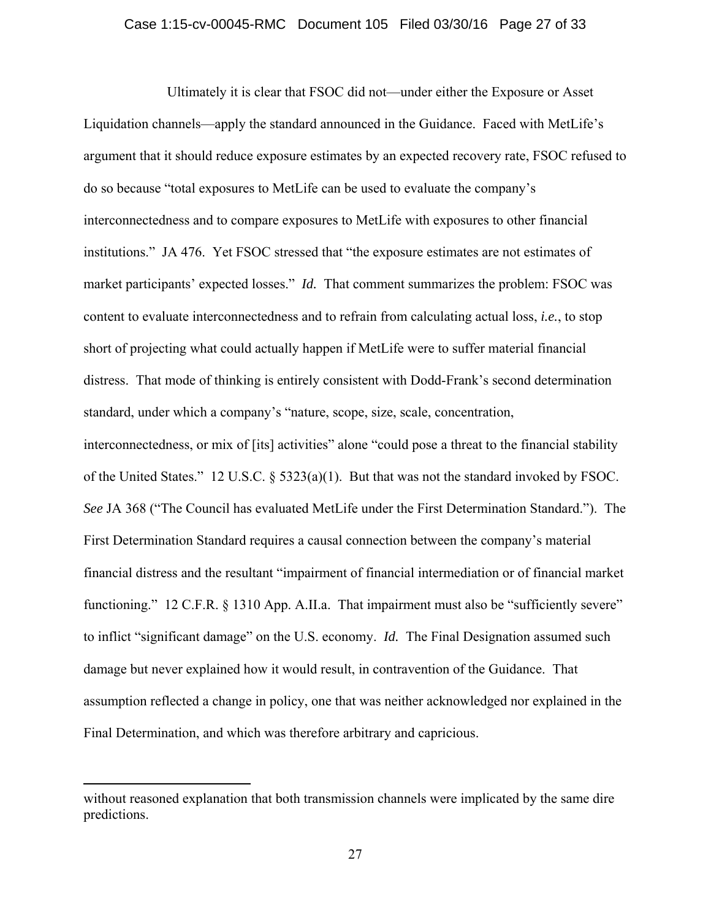### Case 1:15-cv-00045-RMC Document 105 Filed 03/30/16 Page 27 of 33

Ultimately it is clear that FSOC did not—under either the Exposure or Asset Liquidation channels—apply the standard announced in the Guidance. Faced with MetLife's argument that it should reduce exposure estimates by an expected recovery rate, FSOC refused to do so because "total exposures to MetLife can be used to evaluate the company's interconnectedness and to compare exposures to MetLife with exposures to other financial institutions." JA 476. Yet FSOC stressed that "the exposure estimates are not estimates of market participants' expected losses." *Id.* That comment summarizes the problem: FSOC was content to evaluate interconnectedness and to refrain from calculating actual loss, *i.e.*, to stop short of projecting what could actually happen if MetLife were to suffer material financial distress. That mode of thinking is entirely consistent with Dodd-Frank's second determination standard, under which a company's "nature, scope, size, scale, concentration, interconnectedness, or mix of [its] activities" alone "could pose a threat to the financial stability of the United States." 12 U.S.C. § 5323(a)(1). But that was not the standard invoked by FSOC. *See* JA 368 ("The Council has evaluated MetLife under the First Determination Standard."). The First Determination Standard requires a causal connection between the company's material financial distress and the resultant "impairment of financial intermediation or of financial market functioning." 12 C.F.R. § 1310 App. A.II.a. That impairment must also be "sufficiently severe" to inflict "significant damage" on the U.S. economy. *Id.* The Final Designation assumed such damage but never explained how it would result, in contravention of the Guidance. That assumption reflected a change in policy, one that was neither acknowledged nor explained in the Final Determination, and which was therefore arbitrary and capricious.

without reasoned explanation that both transmission channels were implicated by the same dire predictions.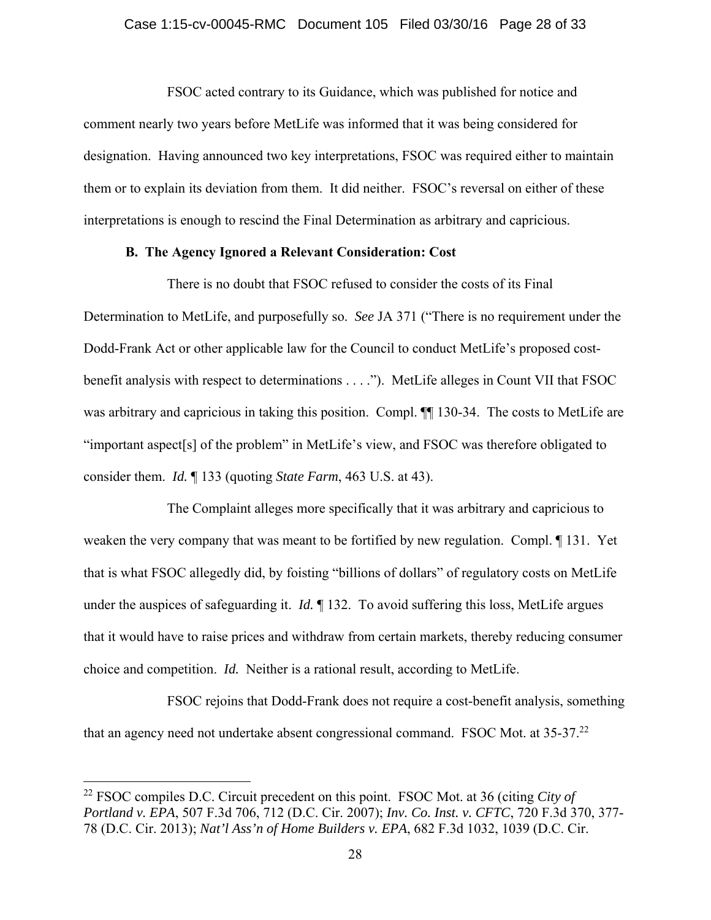### Case 1:15-cv-00045-RMC Document 105 Filed 03/30/16 Page 28 of 33

 FSOC acted contrary to its Guidance, which was published for notice and comment nearly two years before MetLife was informed that it was being considered for designation. Having announced two key interpretations, FSOC was required either to maintain them or to explain its deviation from them. It did neither. FSOC's reversal on either of these interpretations is enough to rescind the Final Determination as arbitrary and capricious.

## **B. The Agency Ignored a Relevant Consideration: Cost**

There is no doubt that FSOC refused to consider the costs of its Final Determination to MetLife, and purposefully so. *See* JA 371 ("There is no requirement under the Dodd-Frank Act or other applicable law for the Council to conduct MetLife's proposed costbenefit analysis with respect to determinations . . . ."). MetLife alleges in Count VII that FSOC was arbitrary and capricious in taking this position. Compl.  $\P$  130-34. The costs to MetLife are "important aspect[s] of the problem" in MetLife's view, and FSOC was therefore obligated to consider them. *Id.* ¶ 133 (quoting *State Farm*, 463 U.S. at 43).

The Complaint alleges more specifically that it was arbitrary and capricious to weaken the very company that was meant to be fortified by new regulation. Compl. ¶ 131. Yet that is what FSOC allegedly did, by foisting "billions of dollars" of regulatory costs on MetLife under the auspices of safeguarding it. *Id.*  $\parallel$  132. To avoid suffering this loss, MetLife argues that it would have to raise prices and withdraw from certain markets, thereby reducing consumer choice and competition. *Id.* Neither is a rational result, according to MetLife.

 FSOC rejoins that Dodd-Frank does not require a cost-benefit analysis, something that an agency need not undertake absent congressional command. FSOC Mot. at 35-37.22

1

<sup>22</sup> FSOC compiles D.C. Circuit precedent on this point. FSOC Mot. at 36 (citing *City of Portland v. EPA*, 507 F.3d 706, 712 (D.C. Cir. 2007); *Inv. Co. Inst. v. CFTC*, 720 F.3d 370, 377- 78 (D.C. Cir. 2013); *Nat'l Ass'n of Home Builders v. EPA*, 682 F.3d 1032, 1039 (D.C. Cir.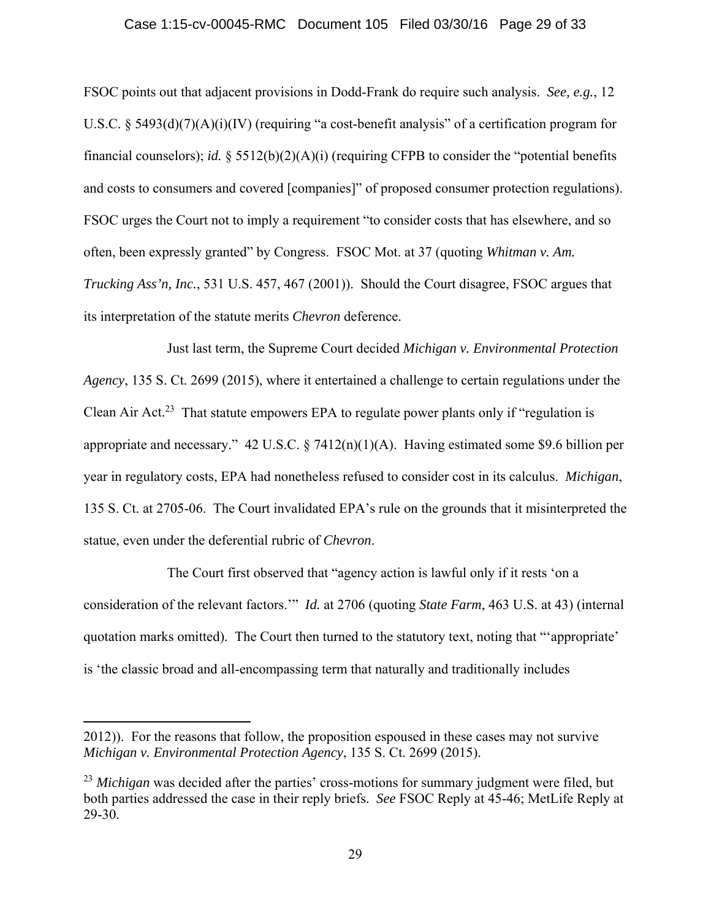### Case 1:15-cv-00045-RMC Document 105 Filed 03/30/16 Page 29 of 33

FSOC points out that adjacent provisions in Dodd-Frank do require such analysis. *See, e.g.*, 12 U.S.C. § 5493(d)(7)(A)(i)(IV) (requiring "a cost-benefit analysis" of a certification program for financial counselors); *id.* § 5512(b)(2)(A)(i) (requiring CFPB to consider the "potential benefits and costs to consumers and covered [companies]" of proposed consumer protection regulations). FSOC urges the Court not to imply a requirement "to consider costs that has elsewhere, and so often, been expressly granted" by Congress. FSOC Mot. at 37 (quoting *Whitman v. Am. Trucking Ass'n, Inc.*, 531 U.S. 457, 467 (2001)). Should the Court disagree, FSOC argues that its interpretation of the statute merits *Chevron* deference.

 Just last term, the Supreme Court decided *Michigan v. Environmental Protection Agency*, 135 S. Ct. 2699 (2015), where it entertained a challenge to certain regulations under the Clean Air Act.<sup>23</sup> That statute empowers EPA to regulate power plants only if "regulation is appropriate and necessary." 42 U.S.C. § 7412(n)(1)(A). Having estimated some \$9.6 billion per year in regulatory costs, EPA had nonetheless refused to consider cost in its calculus. *Michigan*, 135 S. Ct. at 2705-06. The Court invalidated EPA's rule on the grounds that it misinterpreted the statue, even under the deferential rubric of *Chevron*.

 The Court first observed that "agency action is lawful only if it rests 'on a consideration of the relevant factors.'" *Id.* at 2706 (quoting *State Farm*, 463 U.S. at 43) (internal quotation marks omitted). The Court then turned to the statutory text, noting that "'appropriate' is 'the classic broad and all-encompassing term that naturally and traditionally includes

<sup>2012)).</sup> For the reasons that follow, the proposition espoused in these cases may not survive *Michigan v. Environmental Protection Agency*, 135 S. Ct. 2699 (2015).

<sup>&</sup>lt;sup>23</sup> *Michigan* was decided after the parties' cross-motions for summary judgment were filed, but both parties addressed the case in their reply briefs. *See* FSOC Reply at 45-46; MetLife Reply at 29-30.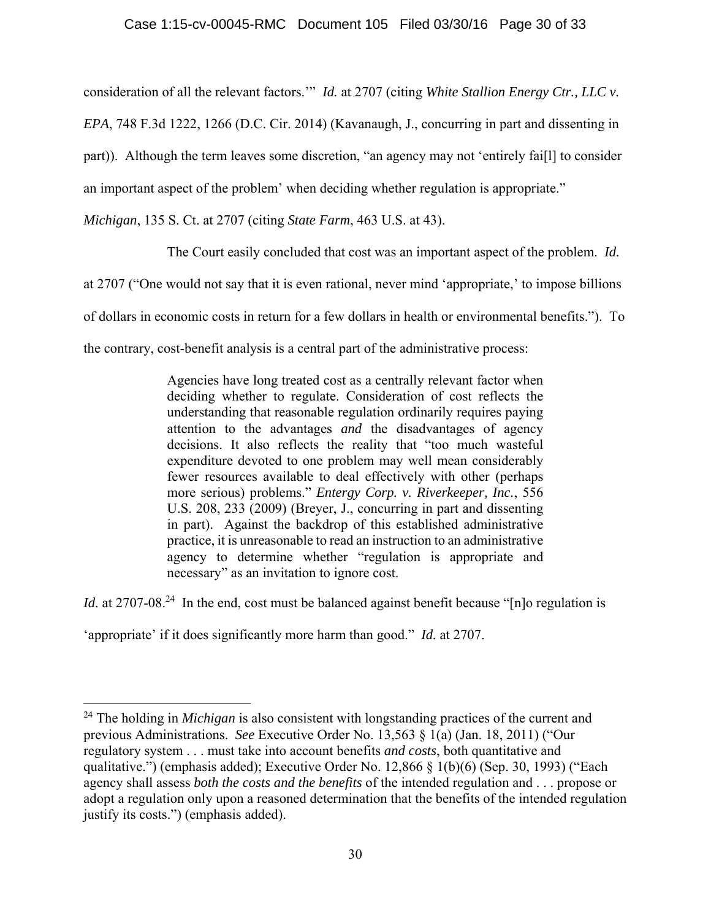consideration of all the relevant factors.'" *Id.* at 2707 (citing *White Stallion Energy Ctr., LLC v.* 

*EPA*, 748 F.3d 1222, 1266 (D.C. Cir. 2014) (Kavanaugh, J., concurring in part and dissenting in

part)). Although the term leaves some discretion, "an agency may not 'entirely fai[l] to consider

an important aspect of the problem' when deciding whether regulation is appropriate."

*Michigan*, 135 S. Ct. at 2707 (citing *State Farm*, 463 U.S. at 43).

The Court easily concluded that cost was an important aspect of the problem. *Id.* 

at 2707 ("One would not say that it is even rational, never mind 'appropriate,' to impose billions

of dollars in economic costs in return for a few dollars in health or environmental benefits."). To

the contrary, cost-benefit analysis is a central part of the administrative process:

Agencies have long treated cost as a centrally relevant factor when deciding whether to regulate. Consideration of cost reflects the understanding that reasonable regulation ordinarily requires paying attention to the advantages *and* the disadvantages of agency decisions. It also reflects the reality that "too much wasteful expenditure devoted to one problem may well mean considerably fewer resources available to deal effectively with other (perhaps more serious) problems." *Entergy Corp. v. Riverkeeper, Inc.*, 556 U.S. 208, 233 (2009) (Breyer, J., concurring in part and dissenting in part). Against the backdrop of this established administrative practice, it is unreasonable to read an instruction to an administrative agency to determine whether "regulation is appropriate and necessary" as an invitation to ignore cost.

*Id.* at 2707-08<sup>24</sup> In the end, cost must be balanced against benefit because "[n]o regulation is

'appropriate' if it does significantly more harm than good." *Id.* at 2707.

<sup>&</sup>lt;sup>24</sup> The holding in *Michigan* is also consistent with longstanding practices of the current and previous Administrations. *See* Executive Order No. 13,563 § 1(a) (Jan. 18, 2011) ("Our regulatory system . . . must take into account benefits *and costs*, both quantitative and qualitative.") (emphasis added); Executive Order No. 12,866 § 1(b)(6) (Sep. 30, 1993) ("Each agency shall assess *both the costs and the benefits* of the intended regulation and . . . propose or adopt a regulation only upon a reasoned determination that the benefits of the intended regulation justify its costs.") (emphasis added).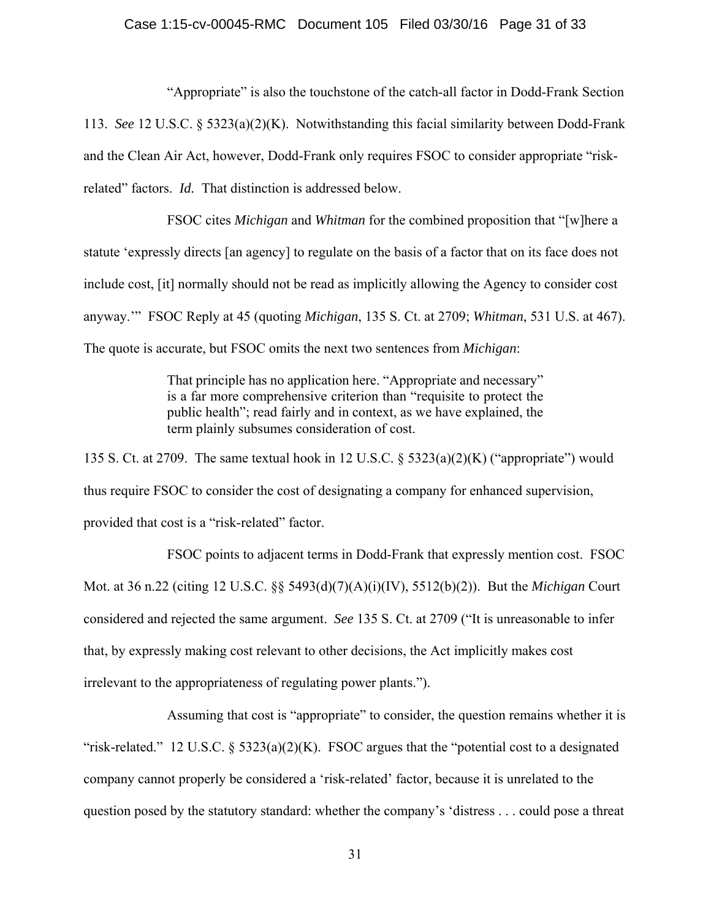### Case 1:15-cv-00045-RMC Document 105 Filed 03/30/16 Page 31 of 33

 "Appropriate" is also the touchstone of the catch-all factor in Dodd-Frank Section 113. *See* 12 U.S.C. § 5323(a)(2)(K). Notwithstanding this facial similarity between Dodd-Frank and the Clean Air Act, however, Dodd-Frank only requires FSOC to consider appropriate "riskrelated" factors. *Id.* That distinction is addressed below.

 FSOC cites *Michigan* and *Whitman* for the combined proposition that "[w]here a statute 'expressly directs [an agency] to regulate on the basis of a factor that on its face does not include cost, [it] normally should not be read as implicitly allowing the Agency to consider cost anyway.'" FSOC Reply at 45 (quoting *Michigan*, 135 S. Ct. at 2709; *Whitman*, 531 U.S. at 467). The quote is accurate, but FSOC omits the next two sentences from *Michigan*:

> That principle has no application here. "Appropriate and necessary" is a far more comprehensive criterion than "requisite to protect the public health"; read fairly and in context, as we have explained, the term plainly subsumes consideration of cost.

135 S. Ct. at 2709. The same textual hook in 12 U.S.C. § 5323(a)(2)(K) ("appropriate") would thus require FSOC to consider the cost of designating a company for enhanced supervision, provided that cost is a "risk-related" factor.

 FSOC points to adjacent terms in Dodd-Frank that expressly mention cost. FSOC Mot. at 36 n.22 (citing 12 U.S.C. §§ 5493(d)(7)(A)(i)(IV), 5512(b)(2)). But the *Michigan* Court considered and rejected the same argument. *See* 135 S. Ct. at 2709 ("It is unreasonable to infer that, by expressly making cost relevant to other decisions, the Act implicitly makes cost irrelevant to the appropriateness of regulating power plants.").

Assuming that cost is "appropriate" to consider, the question remains whether it is "risk-related." 12 U.S.C. §  $5323(a)(2)(K)$ . FSOC argues that the "potential cost to a designated company cannot properly be considered a 'risk-related' factor, because it is unrelated to the question posed by the statutory standard: whether the company's 'distress . . . could pose a threat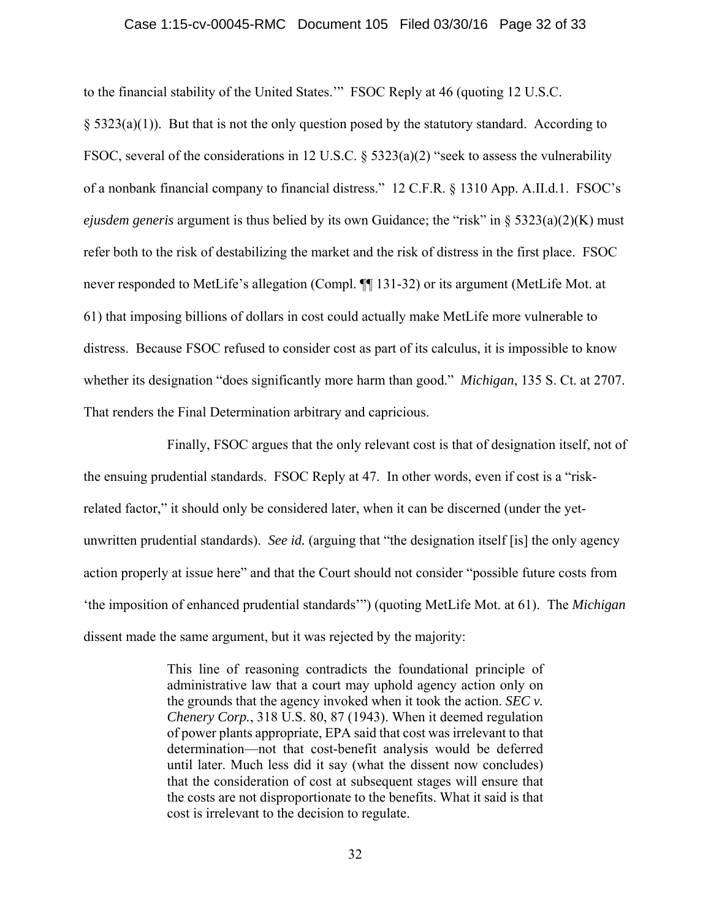#### Case 1:15-cv-00045-RMC Document 105 Filed 03/30/16 Page 32 of 33

to the financial stability of the United States.'" FSOC Reply at 46 (quoting 12 U.S.C.

 $\S$  5323(a)(1)). But that is not the only question posed by the statutory standard. According to FSOC, several of the considerations in 12 U.S.C. § 5323(a)(2) "seek to assess the vulnerability of a nonbank financial company to financial distress." 12 C.F.R. § 1310 App. A.II.d.1. FSOC's *ejusdem generis* argument is thus belied by its own Guidance; the "risk" in § 5323(a)(2)(K) must refer both to the risk of destabilizing the market and the risk of distress in the first place. FSOC never responded to MetLife's allegation (Compl. ¶¶ 131-32) or its argument (MetLife Mot. at 61) that imposing billions of dollars in cost could actually make MetLife more vulnerable to distress. Because FSOC refused to consider cost as part of its calculus, it is impossible to know whether its designation "does significantly more harm than good." *Michigan*, 135 S. Ct. at 2707. That renders the Final Determination arbitrary and capricious.

 Finally, FSOC argues that the only relevant cost is that of designation itself, not of the ensuing prudential standards. FSOC Reply at 47. In other words, even if cost is a "riskrelated factor," it should only be considered later, when it can be discerned (under the yetunwritten prudential standards). *See id.* (arguing that "the designation itself [is] the only agency action properly at issue here" and that the Court should not consider "possible future costs from 'the imposition of enhanced prudential standards'") (quoting MetLife Mot. at 61). The *Michigan*  dissent made the same argument, but it was rejected by the majority:

> This line of reasoning contradicts the foundational principle of administrative law that a court may uphold agency action only on the grounds that the agency invoked when it took the action. *SEC v. Chenery Corp.*, 318 U.S. 80, 87 (1943). When it deemed regulation of power plants appropriate, EPA said that cost was irrelevant to that determination—not that cost-benefit analysis would be deferred until later. Much less did it say (what the dissent now concludes) that the consideration of cost at subsequent stages will ensure that the costs are not disproportionate to the benefits. What it said is that cost is irrelevant to the decision to regulate.